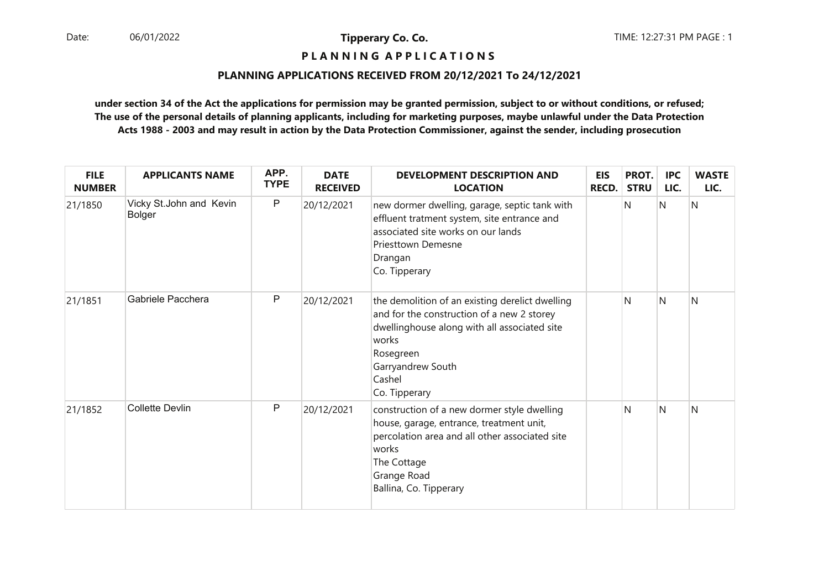# **P L A N N I N G A P P L I C A T I O N S**

#### **PLANNING APPLICATIONS RECEIVED FROM 20/12/2021 To 24/12/2021**

| <b>FILE</b><br><b>NUMBER</b> | <b>APPLICANTS NAME</b>                   | APP.<br><b>TYPE</b> | <b>DATE</b><br><b>RECEIVED</b> | <b>DEVELOPMENT DESCRIPTION AND</b><br><b>LOCATION</b>                                                                                                                                                               | <b>EIS</b><br><b>RECD.</b> | PROT.<br><b>STRU</b> | <b>IPC</b><br>LIC. | <b>WASTE</b><br>LIC. |
|------------------------------|------------------------------------------|---------------------|--------------------------------|---------------------------------------------------------------------------------------------------------------------------------------------------------------------------------------------------------------------|----------------------------|----------------------|--------------------|----------------------|
| 21/1850                      | Vicky St.John and Kevin<br><b>Bolger</b> | $\sf P$             | 20/12/2021                     | new dormer dwelling, garage, septic tank with<br>effluent tratment system, site entrance and<br>associated site works on our lands<br><b>Priesttown Demesne</b><br>Drangan<br>Co. Tipperary                         |                            | N                    | N                  | N                    |
| 21/1851                      | Gabriele Pacchera                        | P                   | 20/12/2021                     | the demolition of an existing derelict dwelling<br>and for the construction of a new 2 storey<br>dwellinghouse along with all associated site<br>works<br>Rosegreen<br>Garryandrew South<br>Cashel<br>Co. Tipperary |                            | N                    | N                  | N                    |
| 21/1852                      | <b>Collette Devlin</b>                   | $\mathsf{P}$        | 20/12/2021                     | construction of a new dormer style dwelling<br>house, garage, entrance, treatment unit,<br>percolation area and all other associated site<br>works<br>The Cottage<br>Grange Road<br>Ballina, Co. Tipperary          |                            | N                    | N                  | N                    |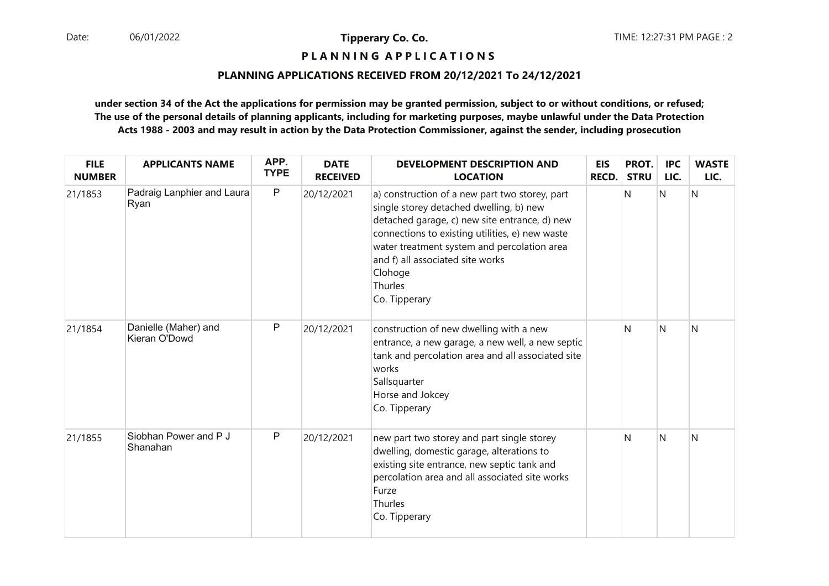**P L A N N I N G A P P L I C A T I O N S** 

## **PLANNING APPLICATIONS RECEIVED FROM 20/12/2021 To 24/12/2021**

| <b>FILE</b><br><b>NUMBER</b> | <b>APPLICANTS NAME</b>                | APP.<br><b>TYPE</b> | <b>DATE</b><br><b>RECEIVED</b> | <b>DEVELOPMENT DESCRIPTION AND</b><br><b>LOCATION</b>                                                                                                                                                                                                                                                                   | <b>EIS</b><br>RECD. | PROT.<br><b>STRU</b> | <b>IPC</b><br>LIC. | <b>WASTE</b><br>LIC. |
|------------------------------|---------------------------------------|---------------------|--------------------------------|-------------------------------------------------------------------------------------------------------------------------------------------------------------------------------------------------------------------------------------------------------------------------------------------------------------------------|---------------------|----------------------|--------------------|----------------------|
| 21/1853                      | Padraig Lanphier and Laura<br>Ryan    | $\mathsf{P}$        | 20/12/2021                     | a) construction of a new part two storey, part<br>single storey detached dwelling, b) new<br>detached garage, c) new site entrance, d) new<br>connections to existing utilities, e) new waste<br>water treatment system and percolation area<br>and f) all associated site works<br>Clohoge<br>Thurles<br>Co. Tipperary |                     | N                    | N                  | N                    |
| 21/1854                      | Danielle (Maher) and<br>Kieran O'Dowd | $\sf P$             | 20/12/2021                     | construction of new dwelling with a new<br>entrance, a new garage, a new well, a new septic<br>tank and percolation area and all associated site<br>works<br>Sallsquarter<br>Horse and Jokcey<br>Co. Tipperary                                                                                                          |                     | N                    | N                  | N                    |
| 21/1855                      | Siobhan Power and P J<br>Shanahan     | $\mathsf P$         | 20/12/2021                     | new part two storey and part single storey<br>dwelling, domestic garage, alterations to<br>existing site entrance, new septic tank and<br>percolation area and all associated site works<br>Furze<br>Thurles<br>Co. Tipperary                                                                                           |                     | N                    | N                  | N                    |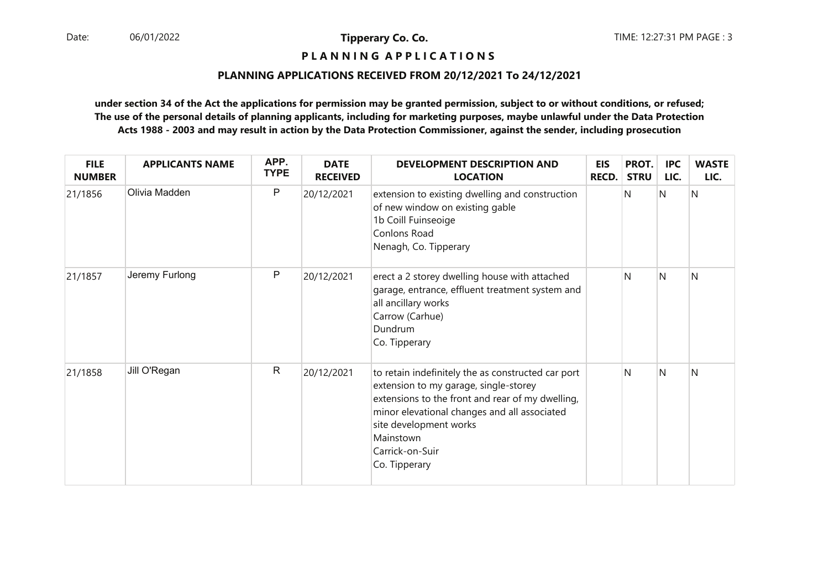# **P L A N N I N G A P P L I C A T I O N S**

## **PLANNING APPLICATIONS RECEIVED FROM 20/12/2021 To 24/12/2021**

| <b>FILE</b><br><b>NUMBER</b> | <b>APPLICANTS NAME</b> | APP.<br><b>TYPE</b> | <b>DATE</b><br><b>RECEIVED</b> | <b>DEVELOPMENT DESCRIPTION AND</b><br><b>LOCATION</b>                                                                                                                                                                                                                      | <b>EIS</b><br><b>RECD.</b> | PROT.<br><b>STRU</b> | <b>IPC</b><br>LIC. | <b>WASTE</b><br>LIC. |
|------------------------------|------------------------|---------------------|--------------------------------|----------------------------------------------------------------------------------------------------------------------------------------------------------------------------------------------------------------------------------------------------------------------------|----------------------------|----------------------|--------------------|----------------------|
| 21/1856                      | Olivia Madden          | P                   | 20/12/2021                     | extension to existing dwelling and construction<br>of new window on existing gable<br>1b Coill Fuinseoige<br>Conlons Road<br>Nenagh, Co. Tipperary                                                                                                                         |                            | N                    | N                  | N                    |
| 21/1857                      | Jeremy Furlong         | P                   | 20/12/2021                     | erect a 2 storey dwelling house with attached<br>garage, entrance, effluent treatment system and<br>all ancillary works<br>Carrow (Carhue)<br>Dundrum<br>Co. Tipperary                                                                                                     |                            | N                    | N                  | N                    |
| 21/1858                      | Jill O'Regan           | $\mathsf{R}$        | 20/12/2021                     | to retain indefinitely the as constructed car port<br>extension to my garage, single-storey<br>extensions to the front and rear of my dwelling,<br>minor elevational changes and all associated<br>site development works<br>Mainstown<br>Carrick-on-Suir<br>Co. Tipperary |                            | N                    | N                  | Ν                    |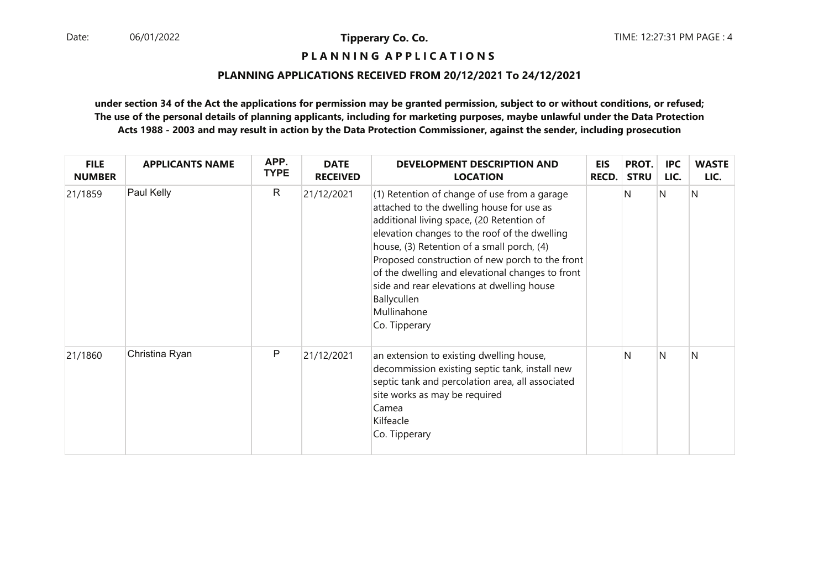**P L A N N I N G A P P L I C A T I O N S** 

## **PLANNING APPLICATIONS RECEIVED FROM 20/12/2021 To 24/12/2021**

| <b>FILE</b><br><b>NUMBER</b> | <b>APPLICANTS NAME</b> | APP.<br><b>TYPE</b> | <b>DATE</b><br><b>RECEIVED</b> | <b>DEVELOPMENT DESCRIPTION AND</b><br><b>LOCATION</b>                                                                                                                                                                                                                                                                                                                                                                                     | <b>EIS</b><br><b>RECD.</b> | PROT.<br><b>STRU</b> | <b>IPC</b><br>LIC. | <b>WASTE</b><br>LIC. |
|------------------------------|------------------------|---------------------|--------------------------------|-------------------------------------------------------------------------------------------------------------------------------------------------------------------------------------------------------------------------------------------------------------------------------------------------------------------------------------------------------------------------------------------------------------------------------------------|----------------------------|----------------------|--------------------|----------------------|
| 21/1859                      | Paul Kelly             | $\mathsf{R}$        | 21/12/2021                     | (1) Retention of change of use from a garage<br>attached to the dwelling house for use as<br>additional living space, (20 Retention of<br>elevation changes to the roof of the dwelling<br>house, (3) Retention of a small porch, (4)<br>Proposed construction of new porch to the front<br>of the dwelling and elevational changes to front<br>side and rear elevations at dwelling house<br>Ballycullen<br>Mullinahone<br>Co. Tipperary |                            | N                    | N                  | N                    |
| 21/1860                      | Christina Ryan         | P                   | 21/12/2021                     | an extension to existing dwelling house,<br>decommission existing septic tank, install new<br>septic tank and percolation area, all associated<br>site works as may be required<br>Camea<br>Kilfeacle<br>Co. Tipperary                                                                                                                                                                                                                    |                            | N                    | N                  | N                    |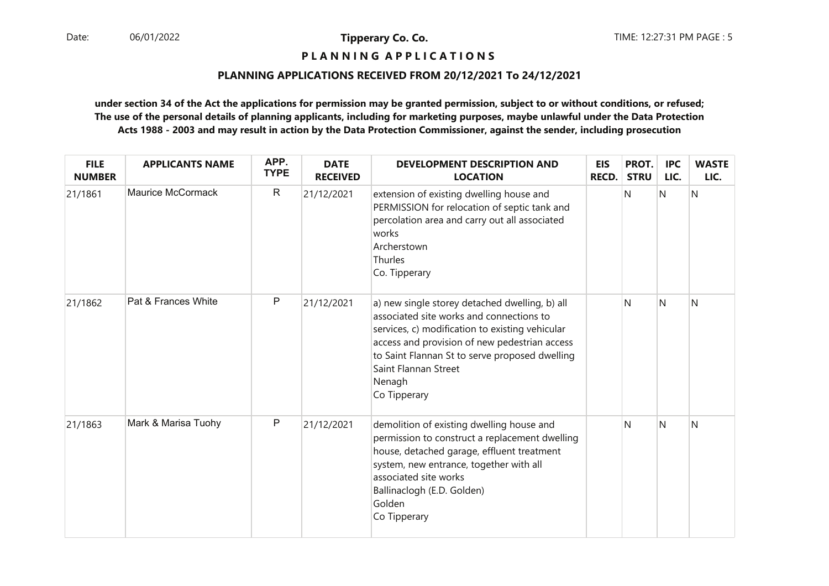**P L A N N I N G A P P L I C A T I O N S** 

## **PLANNING APPLICATIONS RECEIVED FROM 20/12/2021 To 24/12/2021**

| <b>FILE</b><br><b>NUMBER</b> | <b>APPLICANTS NAME</b> | APP.<br><b>TYPE</b> | <b>DATE</b><br><b>RECEIVED</b> | <b>DEVELOPMENT DESCRIPTION AND</b><br><b>LOCATION</b>                                                                                                                                                                                                                                              | <b>EIS</b><br><b>RECD.</b> | PROT.<br><b>STRU</b> | <b>IPC</b><br>LIC. | <b>WASTE</b><br>LIC. |
|------------------------------|------------------------|---------------------|--------------------------------|----------------------------------------------------------------------------------------------------------------------------------------------------------------------------------------------------------------------------------------------------------------------------------------------------|----------------------------|----------------------|--------------------|----------------------|
| 21/1861                      | Maurice McCormack      | $\mathsf{R}$        | 21/12/2021                     | extension of existing dwelling house and<br>PERMISSION for relocation of septic tank and<br>percolation area and carry out all associated<br>works<br>Archerstown<br>Thurles<br>Co. Tipperary                                                                                                      |                            | N                    | N                  | Ν                    |
| 21/1862                      | Pat & Frances White    | P                   | 21/12/2021                     | a) new single storey detached dwelling, b) all<br>associated site works and connections to<br>services, c) modification to existing vehicular<br>access and provision of new pedestrian access<br>to Saint Flannan St to serve proposed dwelling<br>Saint Flannan Street<br>Nenagh<br>Co Tipperary |                            | N                    | N                  | Ν                    |
| 21/1863                      | Mark & Marisa Tuohy    | P                   | 21/12/2021                     | demolition of existing dwelling house and<br>permission to construct a replacement dwelling<br>house, detached garage, effluent treatment<br>system, new entrance, together with all<br>associated site works<br>Ballinaclogh (E.D. Golden)<br>Golden<br>Co Tipperary                              |                            | N                    | N                  | N                    |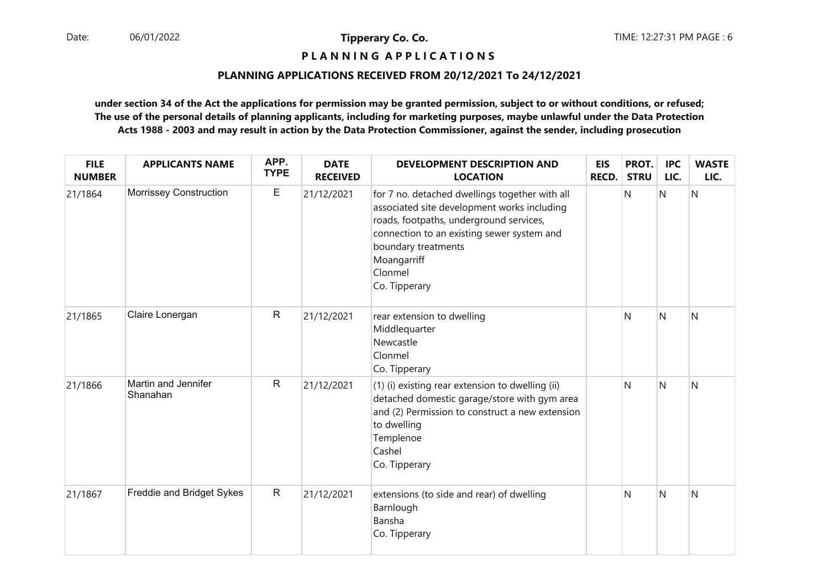# **P L A N N I N G A P P L I C A T I O N S**

## **PLANNING APPLICATIONS RECEIVED FROM 20/12/2021 To 24/12/2021**

| <b>FILE</b><br><b>NUMBER</b> | <b>APPLICANTS NAME</b>          | APP.<br><b>TYPE</b> | <b>DATE</b><br><b>RECEIVED</b> | DEVELOPMENT DESCRIPTION AND<br><b>LOCATION</b>                                                                                                                                                                                                           | <b>EIS</b><br>RECD. | PROT.<br><b>STRU</b> | <b>IPC</b><br>LIC. | <b>WASTE</b><br>LIC. |
|------------------------------|---------------------------------|---------------------|--------------------------------|----------------------------------------------------------------------------------------------------------------------------------------------------------------------------------------------------------------------------------------------------------|---------------------|----------------------|--------------------|----------------------|
| 21/1864                      | Morrissey Construction          | E                   | 21/12/2021                     | for 7 no. detached dwellings together with all<br>associated site development works including<br>roads, footpaths, underground services,<br>connection to an existing sewer system and<br>boundary treatments<br>Moangarriff<br>Clonmel<br>Co. Tipperary |                     | N                    | N                  | N                    |
| 21/1865                      | Claire Lonergan                 | ${\sf R}$           | 21/12/2021                     | rear extension to dwelling<br>Middlequarter<br>Newcastle<br>Clonmel<br>Co. Tipperary                                                                                                                                                                     |                     | N                    | $\mathsf{N}$       | $\mathsf{N}$         |
| 21/1866                      | Martin and Jennifer<br>Shanahan | ${\sf R}$           | 21/12/2021                     | (1) (i) existing rear extension to dwelling (ii)<br>detached domestic garage/store with gym area<br>and (2) Permission to construct a new extension<br>to dwelling<br>Templenoe<br>Cashel<br>Co. Tipperary                                               |                     | N                    | N                  | $\mathsf{N}$         |
| 21/1867                      | Freddie and Bridget Sykes       | $\mathsf{R}$        | 21/12/2021                     | extensions (to side and rear) of dwelling<br>Barnlough<br>Bansha<br>Co. Tipperary                                                                                                                                                                        |                     | N                    | N                  | N                    |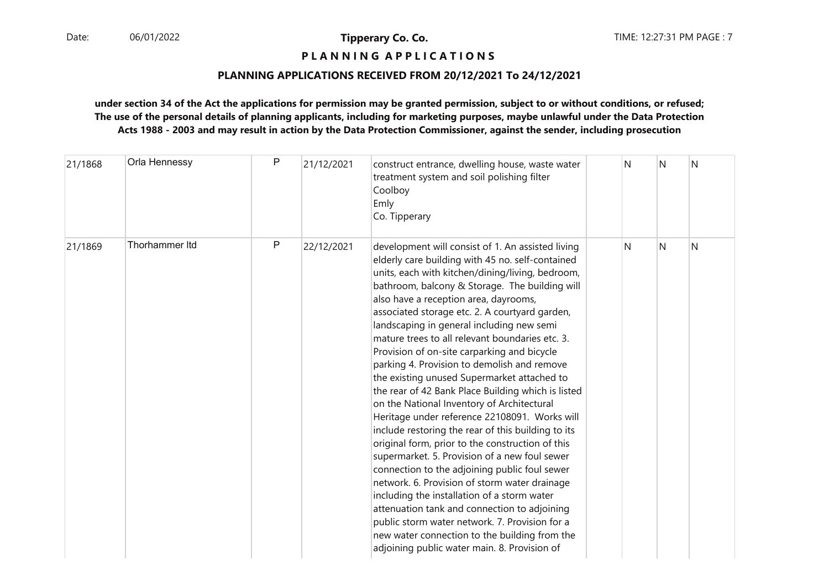# **P L A N N I N G A P P L I C A T I O N S**

#### **PLANNING APPLICATIONS RECEIVED FROM 20/12/2021 To 24/12/2021**

| 21/1868 | Orla Hennessy  | P | 21/12/2021 | construct entrance, dwelling house, waste water<br>treatment system and soil polishing filter<br>Coolboy<br>Emly<br>Co. Tipperary                                                                                                                                                                                                                                                                                                                                                                                                                                                                                                                                                                                                                                                                                                                                                                                                                                                                                                                                                                                                                                                                                       | N | N              | N |
|---------|----------------|---|------------|-------------------------------------------------------------------------------------------------------------------------------------------------------------------------------------------------------------------------------------------------------------------------------------------------------------------------------------------------------------------------------------------------------------------------------------------------------------------------------------------------------------------------------------------------------------------------------------------------------------------------------------------------------------------------------------------------------------------------------------------------------------------------------------------------------------------------------------------------------------------------------------------------------------------------------------------------------------------------------------------------------------------------------------------------------------------------------------------------------------------------------------------------------------------------------------------------------------------------|---|----------------|---|
| 21/1869 | Thorhammer Itd | P | 22/12/2021 | development will consist of 1. An assisted living<br>elderly care building with 45 no. self-contained<br>units, each with kitchen/dining/living, bedroom,<br>bathroom, balcony & Storage. The building will<br>also have a reception area, dayrooms,<br>associated storage etc. 2. A courtyard garden,<br>landscaping in general including new semi<br>mature trees to all relevant boundaries etc. 3.<br>Provision of on-site carparking and bicycle<br>parking 4. Provision to demolish and remove<br>the existing unused Supermarket attached to<br>the rear of 42 Bank Place Building which is listed<br>on the National Inventory of Architectural<br>Heritage under reference 22108091. Works will<br>include restoring the rear of this building to its<br>original form, prior to the construction of this<br>supermarket. 5. Provision of a new foul sewer<br>connection to the adjoining public foul sewer<br>network. 6. Provision of storm water drainage<br>including the installation of a storm water<br>attenuation tank and connection to adjoining<br>public storm water network. 7. Provision for a<br>new water connection to the building from the<br>adjoining public water main. 8. Provision of | N | N <sub>1</sub> | N |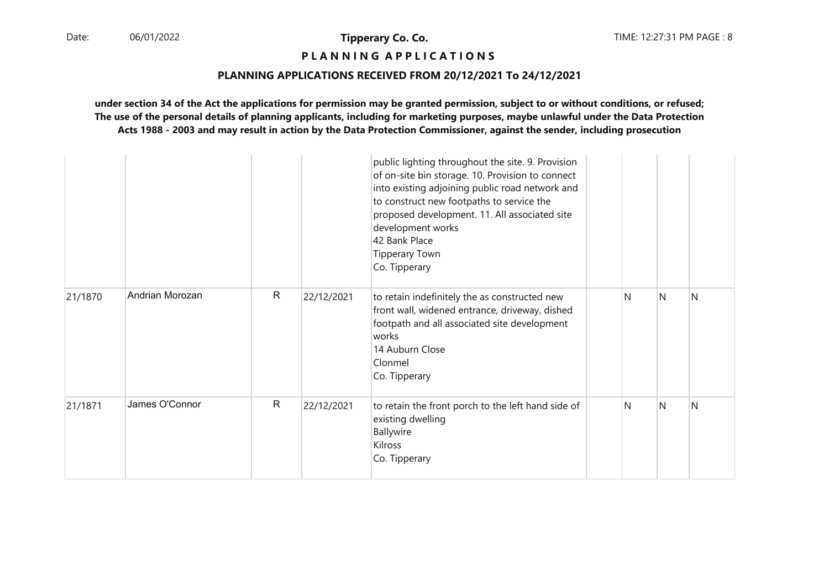# **P L A N N I N G A P P L I C A T I O N S**

#### **PLANNING APPLICATIONS RECEIVED FROM 20/12/2021 To 24/12/2021**

|         |                 |              |            | public lighting throughout the site. 9. Provision<br>of on-site bin storage. 10. Provision to connect<br>into existing adjoining public road network and<br>to construct new footpaths to service the<br>proposed development. 11. All associated site<br>development works<br>42 Bank Place<br><b>Tipperary Town</b><br>Co. Tipperary |   |   |              |
|---------|-----------------|--------------|------------|----------------------------------------------------------------------------------------------------------------------------------------------------------------------------------------------------------------------------------------------------------------------------------------------------------------------------------------|---|---|--------------|
| 21/1870 | Andrian Morozan | $\mathsf{R}$ | 22/12/2021 | to retain indefinitely the as constructed new<br>front wall, widened entrance, driveway, dished<br>footpath and all associated site development<br>works<br>14 Auburn Close<br>Clonmel<br>Co. Tipperary                                                                                                                                | N | N | <sup>N</sup> |
| 21/1871 | James O'Connor  | $\mathsf{R}$ | 22/12/2021 | to retain the front porch to the left hand side of<br>existing dwelling<br>Ballywire<br>Kilross<br>Co. Tipperary                                                                                                                                                                                                                       | N | N | N            |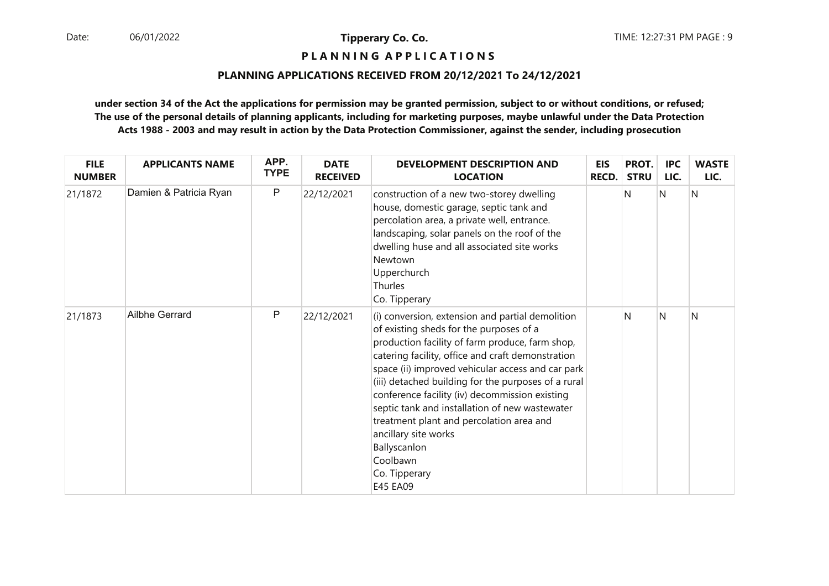**P L A N N I N G A P P L I C A T I O N S** 

## **PLANNING APPLICATIONS RECEIVED FROM 20/12/2021 To 24/12/2021**

| <b>FILE</b><br><b>NUMBER</b> | <b>APPLICANTS NAME</b> | APP.<br><b>TYPE</b> | <b>DATE</b><br><b>RECEIVED</b> | <b>DEVELOPMENT DESCRIPTION AND</b><br><b>LOCATION</b>                                                                                                                                                                                                                                                                                                                                                                                                                                                                                            | <b>EIS</b><br><b>RECD.</b> | PROT.<br><b>STRU</b> | <b>IPC</b><br>LIC. | <b>WASTE</b><br>LIC. |
|------------------------------|------------------------|---------------------|--------------------------------|--------------------------------------------------------------------------------------------------------------------------------------------------------------------------------------------------------------------------------------------------------------------------------------------------------------------------------------------------------------------------------------------------------------------------------------------------------------------------------------------------------------------------------------------------|----------------------------|----------------------|--------------------|----------------------|
| 21/1872                      | Damien & Patricia Ryan | P                   | 22/12/2021                     | construction of a new two-storey dwelling<br>house, domestic garage, septic tank and<br>percolation area, a private well, entrance.<br>landscaping, solar panels on the roof of the<br>dwelling huse and all associated site works<br>Newtown<br>Upperchurch<br>Thurles<br>Co. Tipperary                                                                                                                                                                                                                                                         |                            | N                    | N                  | N                    |
| 21/1873                      | Ailbhe Gerrard         | P                   | 22/12/2021                     | (i) conversion, extension and partial demolition<br>of existing sheds for the purposes of a<br>production facility of farm produce, farm shop,<br>catering facility, office and craft demonstration<br>space (ii) improved vehicular access and car park<br>(iii) detached building for the purposes of a rural<br>conference facility (iv) decommission existing<br>septic tank and installation of new wastewater<br>treatment plant and percolation area and<br>ancillary site works<br>Ballyscanlon<br>Coolbawn<br>Co. Tipperary<br>E45 EA09 |                            | N                    | N                  | N                    |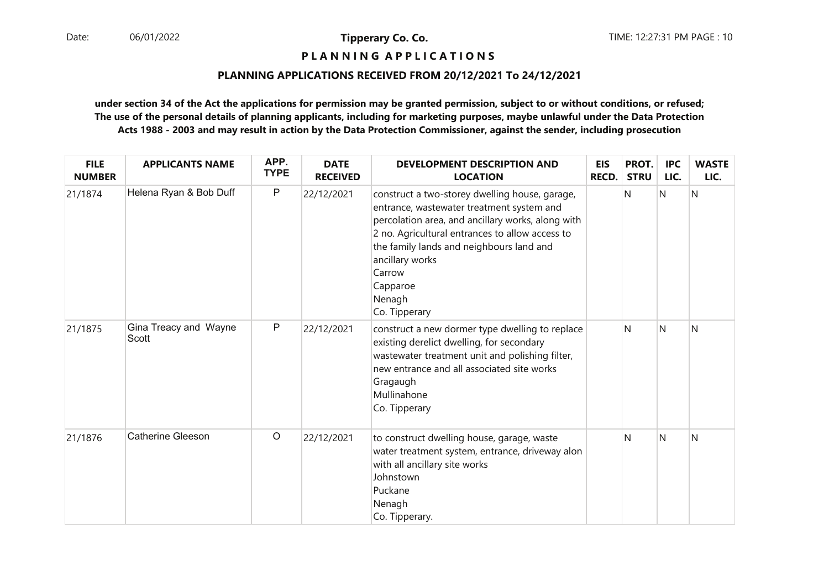# **P L A N N I N G A P P L I C A T I O N S**

#### **PLANNING APPLICATIONS RECEIVED FROM 20/12/2021 To 24/12/2021**

| <b>FILE</b><br><b>NUMBER</b> | <b>APPLICANTS NAME</b>         | APP.<br><b>TYPE</b> | <b>DATE</b><br><b>RECEIVED</b> | <b>DEVELOPMENT DESCRIPTION AND</b><br><b>LOCATION</b>                                                                                                                                                                                                                                                               | <b>EIS</b><br><b>RECD.</b> | PROT.<br><b>STRU</b> | <b>IPC</b><br>LIC. | <b>WASTE</b><br>LIC. |
|------------------------------|--------------------------------|---------------------|--------------------------------|---------------------------------------------------------------------------------------------------------------------------------------------------------------------------------------------------------------------------------------------------------------------------------------------------------------------|----------------------------|----------------------|--------------------|----------------------|
| 21/1874                      | Helena Ryan & Bob Duff         | $\mathsf{P}$        | 22/12/2021                     | construct a two-storey dwelling house, garage,<br>entrance, wastewater treatment system and<br>percolation area, and ancillary works, along with<br>2 no. Agricultural entrances to allow access to<br>the family lands and neighbours land and<br>ancillary works<br>Carrow<br>Capparoe<br>Nenagh<br>Co. Tipperary |                            | N                    | $\mathsf{N}$       | N                    |
| 21/1875                      | Gina Treacy and Wayne<br>Scott | $\mathsf{P}$        | 22/12/2021                     | construct a new dormer type dwelling to replace<br>existing derelict dwelling, for secondary<br>wastewater treatment unit and polishing filter,<br>new entrance and all associated site works<br>Gragaugh<br>Mullinahone<br>Co. Tipperary                                                                           |                            | N                    | N                  | N                    |
| 21/1876                      | <b>Catherine Gleeson</b>       | $\circ$             | 22/12/2021                     | to construct dwelling house, garage, waste<br>water treatment system, entrance, driveway alon<br>with all ancillary site works<br>Johnstown<br>Puckane<br>Nenagh<br>Co. Tipperary.                                                                                                                                  |                            | N                    | N                  | N                    |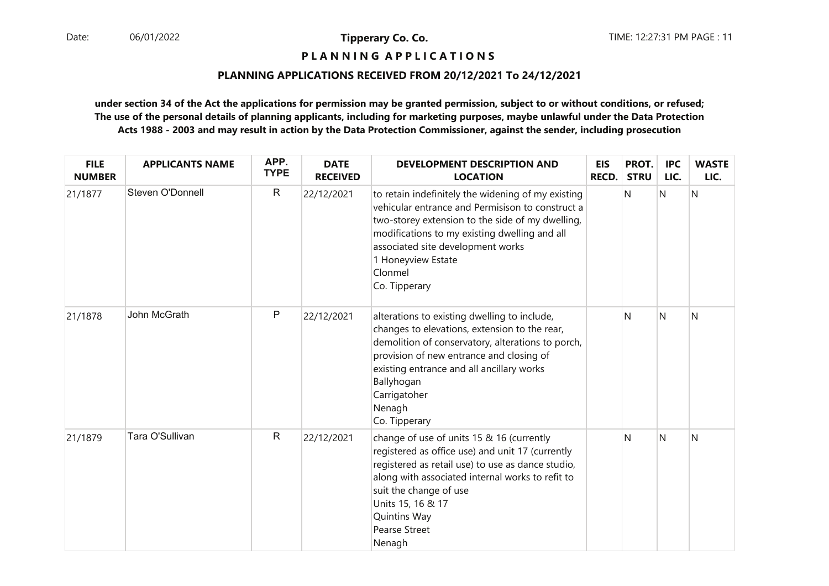# **P L A N N I N G A P P L I C A T I O N S**

#### **PLANNING APPLICATIONS RECEIVED FROM 20/12/2021 To 24/12/2021**

| <b>FILE</b><br><b>NUMBER</b> | <b>APPLICANTS NAME</b> | APP.<br><b>TYPE</b> | <b>DATE</b><br><b>RECEIVED</b> | <b>DEVELOPMENT DESCRIPTION AND</b><br><b>LOCATION</b>                                                                                                                                                                                                                                                   | <b>EIS</b><br>RECD. | PROT.<br><b>STRU</b> | <b>IPC</b><br>LIC. | <b>WASTE</b><br>LIC. |
|------------------------------|------------------------|---------------------|--------------------------------|---------------------------------------------------------------------------------------------------------------------------------------------------------------------------------------------------------------------------------------------------------------------------------------------------------|---------------------|----------------------|--------------------|----------------------|
| 21/1877                      | Steven O'Donnell       | $\mathsf{R}$        | 22/12/2021                     | to retain indefinitely the widening of my existing<br>vehicular entrance and Permisison to construct a<br>two-storey extension to the side of my dwelling,<br>modifications to my existing dwelling and all<br>associated site development works<br>1 Honeyview Estate<br>Clonmel<br>Co. Tipperary      |                     | N                    | N                  | Ν                    |
| 21/1878                      | John McGrath           | $\mathsf{P}$        | 22/12/2021                     | alterations to existing dwelling to include,<br>changes to elevations, extension to the rear,<br>demolition of conservatory, alterations to porch,<br>provision of new entrance and closing of<br>existing entrance and all ancillary works<br>Ballyhogan<br>Carrigatoher<br>Nenagh<br>Co. Tipperary    |                     | N                    | N                  | N                    |
| 21/1879                      | Tara O'Sullivan        | $\mathsf{R}$        | 22/12/2021                     | change of use of units 15 & 16 (currently<br>registered as office use) and unit 17 (currently<br>registered as retail use) to use as dance studio,<br>along with associated internal works to refit to<br>suit the change of use<br>Units 15, 16 & 17<br>Quintins Way<br><b>Pearse Street</b><br>Nenagh |                     | N                    | $\mathsf{N}$       | N                    |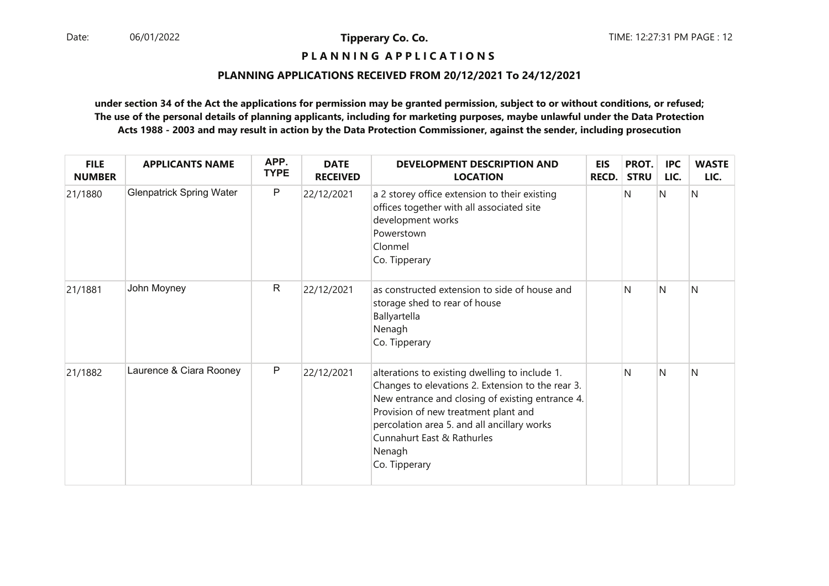# **P L A N N I N G A P P L I C A T I O N S**

#### **PLANNING APPLICATIONS RECEIVED FROM 20/12/2021 To 24/12/2021**

| <b>FILE</b><br><b>NUMBER</b> | <b>APPLICANTS NAME</b>          | APP.<br><b>TYPE</b> | <b>DATE</b><br><b>RECEIVED</b> | <b>DEVELOPMENT DESCRIPTION AND</b><br><b>LOCATION</b>                                                                                                                                                                                                                                                   | <b>EIS</b><br><b>RECD.</b> | PROT.<br><b>STRU</b> | <b>IPC</b><br>LIC. | <b>WASTE</b><br>LIC. |
|------------------------------|---------------------------------|---------------------|--------------------------------|---------------------------------------------------------------------------------------------------------------------------------------------------------------------------------------------------------------------------------------------------------------------------------------------------------|----------------------------|----------------------|--------------------|----------------------|
| 21/1880                      | <b>Glenpatrick Spring Water</b> | P                   | 22/12/2021                     | a 2 storey office extension to their existing<br>offices together with all associated site<br>development works<br>Powerstown<br>Clonmel<br>Co. Tipperary                                                                                                                                               |                            | N                    | N                  | Ν                    |
| 21/1881                      | John Moyney                     | $\mathsf{R}$        | 22/12/2021                     | as constructed extension to side of house and<br>storage shed to rear of house<br>Ballyartella<br>Nenagh<br>Co. Tipperary                                                                                                                                                                               |                            | N                    | N                  | N                    |
| 21/1882                      | Laurence & Ciara Rooney         | P                   | 22/12/2021                     | alterations to existing dwelling to include 1.<br>Changes to elevations 2. Extension to the rear 3.<br>New entrance and closing of existing entrance 4.<br>Provision of new treatment plant and<br>percolation area 5. and all ancillary works<br>Cunnahurt East & Rathurles<br>Nenagh<br>Co. Tipperary |                            | N                    | N                  | N                    |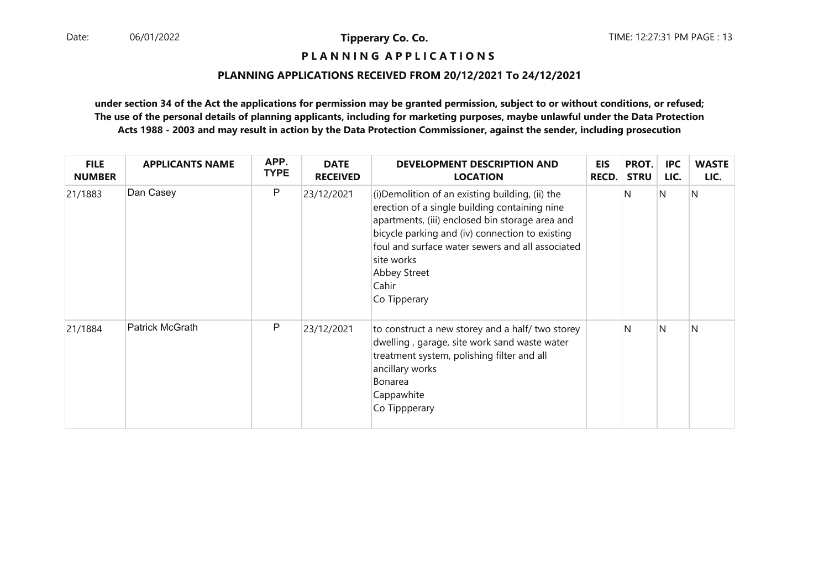**P L A N N I N G A P P L I C A T I O N S** 

## **PLANNING APPLICATIONS RECEIVED FROM 20/12/2021 To 24/12/2021**

| <b>FILE</b><br><b>NUMBER</b> | <b>APPLICANTS NAME</b> | APP.<br><b>TYPE</b> | <b>DATE</b><br><b>RECEIVED</b> | <b>DEVELOPMENT DESCRIPTION AND</b><br><b>LOCATION</b>                                                                                                                                                                                                                                                              | <b>EIS</b><br><b>RECD.</b> | PROT.<br><b>STRU</b> | <b>IPC</b><br>LIC. | <b>WASTE</b><br>LIC. |
|------------------------------|------------------------|---------------------|--------------------------------|--------------------------------------------------------------------------------------------------------------------------------------------------------------------------------------------------------------------------------------------------------------------------------------------------------------------|----------------------------|----------------------|--------------------|----------------------|
| 21/1883                      | Dan Casey              | P                   | 23/12/2021                     | (i) Demolition of an existing building, (ii) the<br>erection of a single building containing nine<br>apartments, (iii) enclosed bin storage area and<br>bicycle parking and (iv) connection to existing<br>foul and surface water sewers and all associated<br>site works<br>Abbey Street<br>Cahir<br>Co Tipperary |                            | N                    | IN.                | N                    |
| 21/1884                      | Patrick McGrath        | P                   | 23/12/2021                     | to construct a new storey and a half/ two storey<br>dwelling, garage, site work sand waste water<br>treatment system, polishing filter and all<br>ancillary works<br>Bonarea<br>Cappawhite<br>Co Tippperary                                                                                                        |                            | N                    | IN.                | N                    |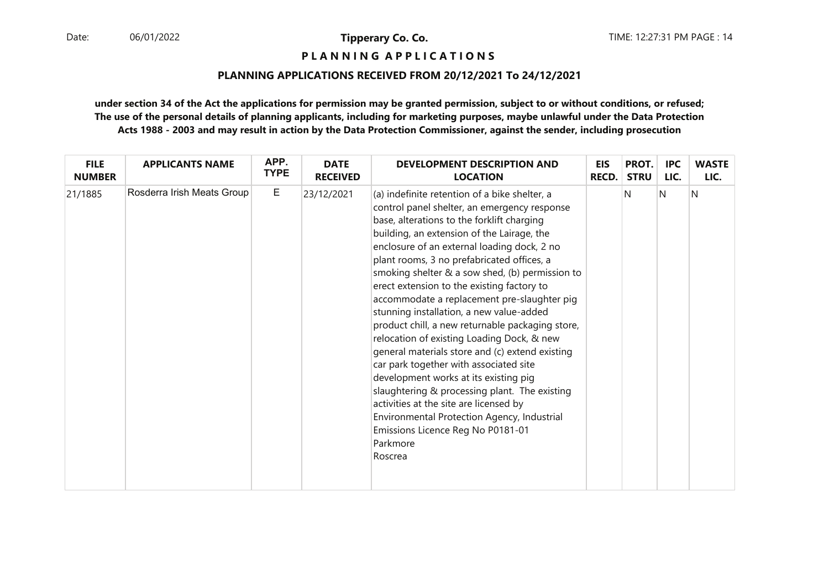# **P L A N N I N G A P P L I C A T I O N S**

## **PLANNING APPLICATIONS RECEIVED FROM 20/12/2021 To 24/12/2021**

| <b>FILE</b>   | <b>APPLICANTS NAME</b>     | APP.        | <b>DATE</b>     | <b>DEVELOPMENT DESCRIPTION AND</b>                                                                                                                                                                                                                                                                                                                                                                                                                                                                                                                                                                                                                                                                                                                                                                                                                                                                                               | <b>EIS</b>   | PROT.       | <b>IPC</b> | <b>WASTE</b> |
|---------------|----------------------------|-------------|-----------------|----------------------------------------------------------------------------------------------------------------------------------------------------------------------------------------------------------------------------------------------------------------------------------------------------------------------------------------------------------------------------------------------------------------------------------------------------------------------------------------------------------------------------------------------------------------------------------------------------------------------------------------------------------------------------------------------------------------------------------------------------------------------------------------------------------------------------------------------------------------------------------------------------------------------------------|--------------|-------------|------------|--------------|
| <b>NUMBER</b> |                            | <b>TYPE</b> | <b>RECEIVED</b> | <b>LOCATION</b>                                                                                                                                                                                                                                                                                                                                                                                                                                                                                                                                                                                                                                                                                                                                                                                                                                                                                                                  | <b>RECD.</b> | <b>STRU</b> | LIC.       | LIC.         |
| 21/1885       | Rosderra Irish Meats Group | E           | 23/12/2021      | (a) indefinite retention of a bike shelter, a<br>control panel shelter, an emergency response<br>base, alterations to the forklift charging<br>building, an extension of the Lairage, the<br>enclosure of an external loading dock, 2 no<br>plant rooms, 3 no prefabricated offices, a<br>smoking shelter & a sow shed, (b) permission to<br>erect extension to the existing factory to<br>accommodate a replacement pre-slaughter pig<br>stunning installation, a new value-added<br>product chill, a new returnable packaging store,<br>relocation of existing Loading Dock, & new<br>general materials store and (c) extend existing<br>car park together with associated site<br>development works at its existing pig<br>slaughtering & processing plant. The existing<br>activities at the site are licensed by<br>Environmental Protection Agency, Industrial<br>Emissions Licence Reg No P0181-01<br>Parkmore<br>Roscrea |              | N           | N          | N            |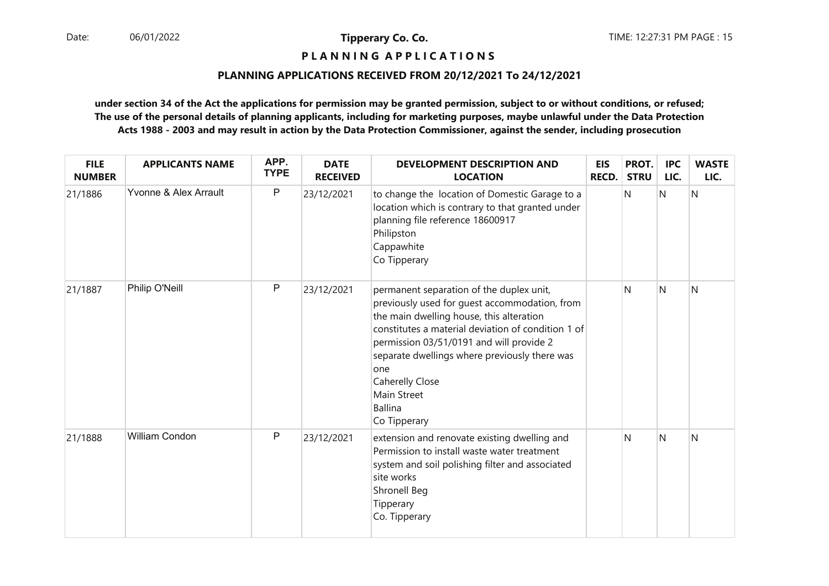# **P L A N N I N G A P P L I C A T I O N S**

#### **PLANNING APPLICATIONS RECEIVED FROM 20/12/2021 To 24/12/2021**

| <b>FILE</b><br><b>NUMBER</b> | <b>APPLICANTS NAME</b> | APP.<br><b>TYPE</b> | <b>DATE</b><br><b>RECEIVED</b> | <b>DEVELOPMENT DESCRIPTION AND</b><br><b>LOCATION</b>                                                                                                                                                                                                                                                                                                                      | <b>EIS</b><br><b>RECD.</b> | PROT.<br><b>STRU</b> | <b>IPC</b><br>LIC. | <b>WASTE</b><br>LIC. |
|------------------------------|------------------------|---------------------|--------------------------------|----------------------------------------------------------------------------------------------------------------------------------------------------------------------------------------------------------------------------------------------------------------------------------------------------------------------------------------------------------------------------|----------------------------|----------------------|--------------------|----------------------|
| 21/1886                      | Yvonne & Alex Arrault  | P                   | 23/12/2021                     | to change the location of Domestic Garage to a<br>location which is contrary to that granted under<br>planning file reference 18600917<br>Philipston<br>Cappawhite<br>Co Tipperary                                                                                                                                                                                         |                            | N                    | N                  | N                    |
| 21/1887                      | Philip O'Neill         | P                   | 23/12/2021                     | permanent separation of the duplex unit,<br>previously used for guest accommodation, from<br>the main dwelling house, this alteration<br>constitutes a material deviation of condition 1 of<br>permission 03/51/0191 and will provide 2<br>separate dwellings where previously there was<br>one<br><b>Caherelly Close</b><br>Main Street<br><b>Ballina</b><br>Co Tipperary |                            | N                    | <sup>N</sup>       | N                    |
| 21/1888                      | William Condon         | P                   | 23/12/2021                     | extension and renovate existing dwelling and<br>Permission to install waste water treatment<br>system and soil polishing filter and associated<br>site works<br>Shronell Beg<br>Tipperary<br>Co. Tipperary                                                                                                                                                                 |                            | N                    | N                  | N                    |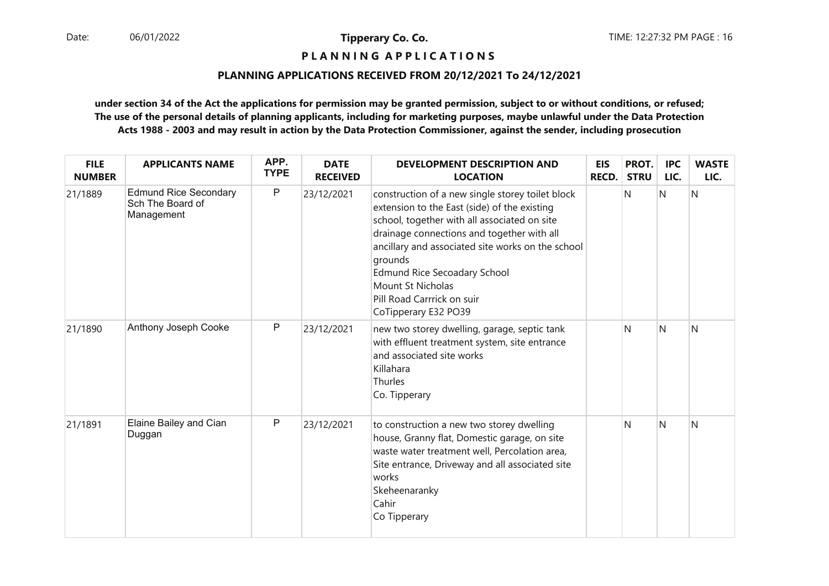#### **P L A N N I N G A P P L I C A T I O N S**

#### **PLANNING APPLICATIONS RECEIVED FROM 20/12/2021 To 24/12/2021**

| <b>FILE</b><br><b>NUMBER</b> | <b>APPLICANTS NAME</b>                                         | APP.<br><b>TYPE</b> | <b>DATE</b><br><b>RECEIVED</b> | <b>DEVELOPMENT DESCRIPTION AND</b><br><b>LOCATION</b>                                                                                                                                                                                                                                                                                                                            | <b>EIS</b><br><b>RECD.</b> | PROT.<br><b>STRU</b> | <b>IPC</b><br>LIC. | <b>WASTE</b><br>LIC. |
|------------------------------|----------------------------------------------------------------|---------------------|--------------------------------|----------------------------------------------------------------------------------------------------------------------------------------------------------------------------------------------------------------------------------------------------------------------------------------------------------------------------------------------------------------------------------|----------------------------|----------------------|--------------------|----------------------|
| 21/1889                      | <b>Edmund Rice Secondary</b><br>Sch The Board of<br>Management | $\mathsf{P}$        | 23/12/2021                     | construction of a new single storey toilet block<br>extension to the East (side) of the existing<br>school, together with all associated on site<br>drainage connections and together with all<br>ancillary and associated site works on the school<br>grounds<br><b>Edmund Rice Secoadary School</b><br>Mount St Nicholas<br>Pill Road Carrrick on suir<br>CoTipperary E32 PO39 |                            | N                    | N                  | N                    |
| 21/1890                      | Anthony Joseph Cooke                                           | $\mathsf{P}$        | 23/12/2021                     | new two storey dwelling, garage, septic tank<br>with effluent treatment system, site entrance<br>and associated site works<br>Killahara<br>Thurles<br>Co. Tipperary                                                                                                                                                                                                              |                            | N                    | N                  | Ν                    |
| 21/1891                      | Elaine Bailey and Cian<br>Duggan                               | P                   | 23/12/2021                     | to construction a new two storey dwelling<br>house, Granny flat, Domestic garage, on site<br>waste water treatment well, Percolation area,<br>Site entrance, Driveway and all associated site<br>works<br>Skeheenaranky<br>Cahir<br>Co Tipperary                                                                                                                                 |                            | N                    | N                  | Ν                    |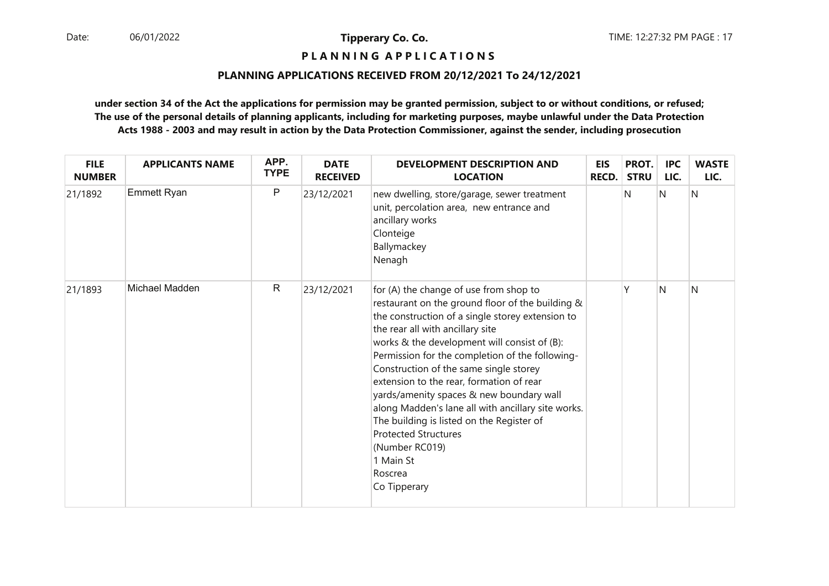# **P L A N N I N G A P P L I C A T I O N S**

#### **PLANNING APPLICATIONS RECEIVED FROM 20/12/2021 To 24/12/2021**

| <b>FILE</b><br><b>NUMBER</b> | <b>APPLICANTS NAME</b> | APP.<br><b>TYPE</b> | <b>DATE</b><br><b>RECEIVED</b> | <b>DEVELOPMENT DESCRIPTION AND</b><br><b>LOCATION</b>                                                                                                                                                                                                                                                                                                                                                                                                                                                                                                                                                               | <b>EIS</b><br><b>RECD.</b> | PROT.<br><b>STRU</b> | <b>IPC</b><br>LIC. | <b>WASTE</b><br>LIC. |
|------------------------------|------------------------|---------------------|--------------------------------|---------------------------------------------------------------------------------------------------------------------------------------------------------------------------------------------------------------------------------------------------------------------------------------------------------------------------------------------------------------------------------------------------------------------------------------------------------------------------------------------------------------------------------------------------------------------------------------------------------------------|----------------------------|----------------------|--------------------|----------------------|
| 21/1892                      | <b>Emmett Ryan</b>     | $\mathsf{P}$        | 23/12/2021                     | new dwelling, store/garage, sewer treatment<br>unit, percolation area, new entrance and<br>ancillary works<br>Clonteige<br>Ballymackey<br>Nenagh                                                                                                                                                                                                                                                                                                                                                                                                                                                                    |                            | N                    | N                  | N                    |
| 21/1893                      | Michael Madden         | $\mathsf{R}$        | 23/12/2021                     | for (A) the change of use from shop to<br>restaurant on the ground floor of the building &<br>the construction of a single storey extension to<br>the rear all with ancillary site<br>works & the development will consist of (B):<br>Permission for the completion of the following-<br>Construction of the same single storey<br>extension to the rear, formation of rear<br>yards/amenity spaces & new boundary wall<br>along Madden's lane all with ancillary site works.<br>The building is listed on the Register of<br><b>Protected Structures</b><br>(Number RC019)<br>1 Main St<br>Roscrea<br>Co Tipperary |                            | ٧                    | N                  | N                    |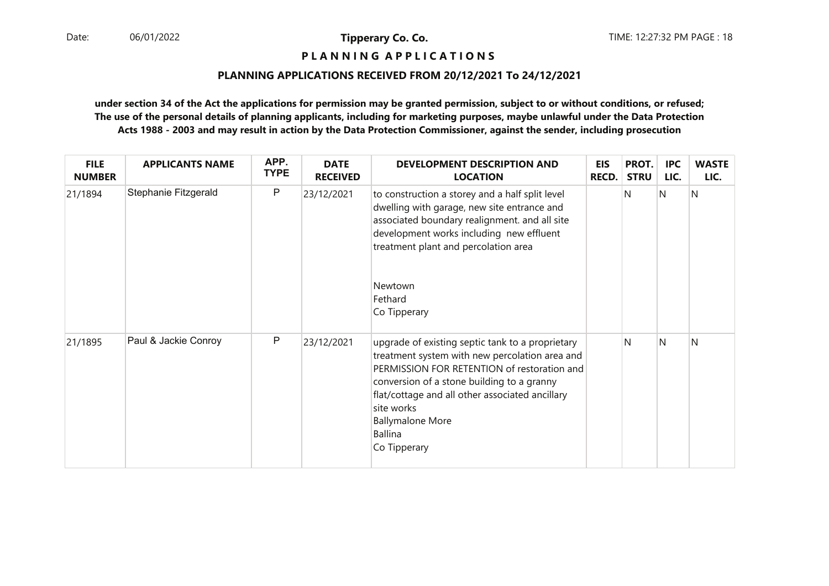# **P L A N N I N G A P P L I C A T I O N S**

#### **PLANNING APPLICATIONS RECEIVED FROM 20/12/2021 To 24/12/2021**

| <b>FILE</b><br><b>NUMBER</b> | <b>APPLICANTS NAME</b> | APP.<br><b>TYPE</b> | <b>DATE</b><br><b>RECEIVED</b> | <b>DEVELOPMENT DESCRIPTION AND</b><br><b>LOCATION</b>                                                                                                                                                                                                                                                                         | <b>EIS</b><br><b>RECD.</b> | PROT.<br><b>STRU</b> | <b>IPC</b><br>LIC. | <b>WASTE</b><br>LIC. |
|------------------------------|------------------------|---------------------|--------------------------------|-------------------------------------------------------------------------------------------------------------------------------------------------------------------------------------------------------------------------------------------------------------------------------------------------------------------------------|----------------------------|----------------------|--------------------|----------------------|
| 21/1894                      | Stephanie Fitzgerald   | $\mathsf{P}$        | 23/12/2021                     | to construction a storey and a half split level<br>dwelling with garage, new site entrance and<br>associated boundary realignment. and all site<br>development works including new effluent<br>treatment plant and percolation area                                                                                           |                            | N                    | N                  | N                    |
|                              |                        |                     |                                | Newtown<br>Fethard<br>Co Tipperary                                                                                                                                                                                                                                                                                            |                            |                      |                    |                      |
| 21/1895                      | Paul & Jackie Conroy   | $\mathsf{P}$        | 23/12/2021                     | upgrade of existing septic tank to a proprietary<br>treatment system with new percolation area and<br>PERMISSION FOR RETENTION of restoration and<br>conversion of a stone building to a granny<br>flat/cottage and all other associated ancillary<br>site works<br><b>Ballymalone More</b><br><b>Ballina</b><br>Co Tipperary |                            | N                    | N                  | Ν                    |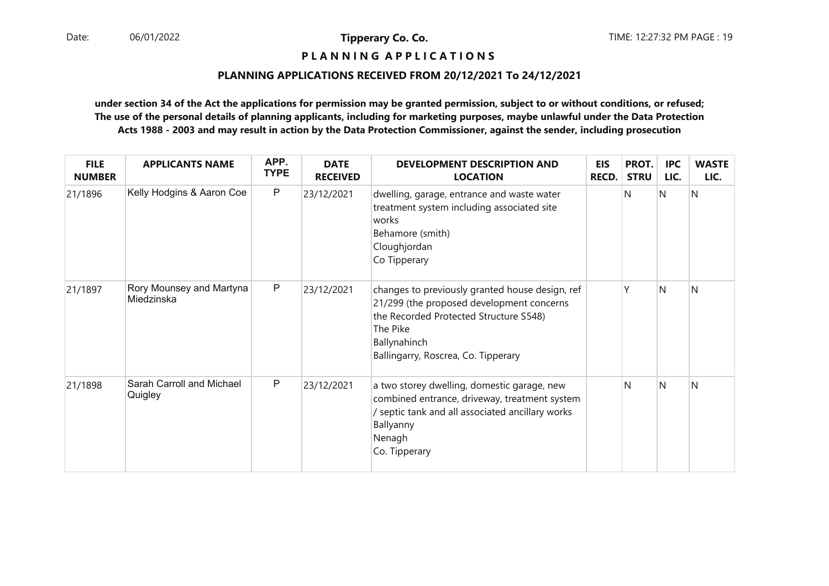# **P L A N N I N G A P P L I C A T I O N S**

#### **PLANNING APPLICATIONS RECEIVED FROM 20/12/2021 To 24/12/2021**

| <b>FILE</b><br><b>NUMBER</b> | <b>APPLICANTS NAME</b>                 | APP.<br><b>TYPE</b> | <b>DATE</b><br><b>RECEIVED</b> | <b>DEVELOPMENT DESCRIPTION AND</b><br><b>LOCATION</b>                                                                                                                                                     | EIS<br><b>RECD.</b> | PROT.<br><b>STRU</b> | <b>IPC</b><br>LIC. | <b>WASTE</b><br>LIC. |
|------------------------------|----------------------------------------|---------------------|--------------------------------|-----------------------------------------------------------------------------------------------------------------------------------------------------------------------------------------------------------|---------------------|----------------------|--------------------|----------------------|
| 21/1896                      | Kelly Hodgins & Aaron Coe              | $\mathsf{P}$        | 23/12/2021                     | dwelling, garage, entrance and waste water<br>treatment system including associated site<br>works<br>Behamore (smith)<br>Cloughjordan<br>Co Tipperary                                                     |                     | N                    | Ν                  | N                    |
| 21/1897                      | Rory Mounsey and Martyna<br>Miedzinska | $\mathsf{P}$        | 23/12/2021                     | changes to previously granted house design, ref<br>21/299 (the proposed development concerns<br>the Recorded Protected Structure S548)<br>The Pike<br>Ballynahinch<br>Ballingarry, Roscrea, Co. Tipperary |                     | γ                    | N                  | N                    |
| 21/1898                      | Sarah Carroll and Michael<br>Quigley   | $\mathsf{P}$        | 23/12/2021                     | a two storey dwelling, domestic garage, new<br>combined entrance, driveway, treatment system<br>/ septic tank and all associated ancillary works<br>Ballyanny<br>Nenagh<br>Co. Tipperary                  |                     | N                    | N                  | N                    |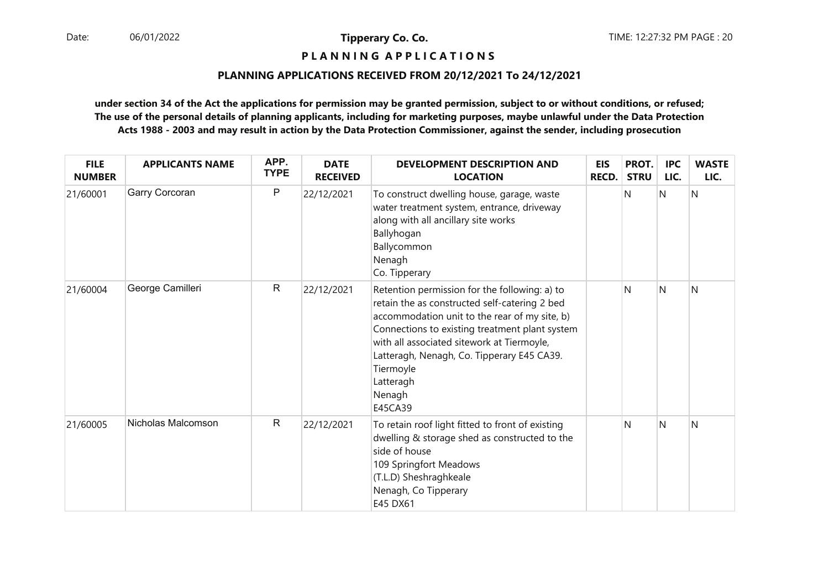# **P L A N N I N G A P P L I C A T I O N S**

## **PLANNING APPLICATIONS RECEIVED FROM 20/12/2021 To 24/12/2021**

| <b>FILE</b><br><b>NUMBER</b> | <b>APPLICANTS NAME</b> | APP.<br><b>TYPE</b> | <b>DATE</b><br><b>RECEIVED</b> | <b>DEVELOPMENT DESCRIPTION AND</b><br><b>LOCATION</b>                                                                                                                                                                                                                                                                                        | <b>EIS</b><br><b>RECD.</b> | PROT.<br><b>STRU</b> | <b>IPC</b><br>LIC. | <b>WASTE</b><br>LIC. |
|------------------------------|------------------------|---------------------|--------------------------------|----------------------------------------------------------------------------------------------------------------------------------------------------------------------------------------------------------------------------------------------------------------------------------------------------------------------------------------------|----------------------------|----------------------|--------------------|----------------------|
| 21/60001                     | Garry Corcoran         | P                   | 22/12/2021                     | To construct dwelling house, garage, waste<br>water treatment system, entrance, driveway<br>along with all ancillary site works<br>Ballyhogan<br>Ballycommon<br>Nenagh<br>Co. Tipperary                                                                                                                                                      |                            | N                    | IN.                | N                    |
| 21/60004                     | George Camilleri       | $\mathsf{R}$        | 22/12/2021                     | Retention permission for the following: a) to<br>retain the as constructed self-catering 2 bed<br>accommodation unit to the rear of my site, b)<br>Connections to existing treatment plant system<br>with all associated sitework at Tiermoyle,<br>Latteragh, Nenagh, Co. Tipperary E45 CA39.<br>Tiermoyle<br>Latteragh<br>Nenagh<br>E45CA39 |                            | N                    | N                  | N                    |
| 21/60005                     | Nicholas Malcomson     | $\mathsf R$         | 22/12/2021                     | To retain roof light fitted to front of existing<br>dwelling & storage shed as constructed to the<br>side of house<br>109 Springfort Meadows<br>(T.L.D) Sheshraghkeale<br>Nenagh, Co Tipperary<br>E45 DX61                                                                                                                                   |                            | N                    | N                  | N                    |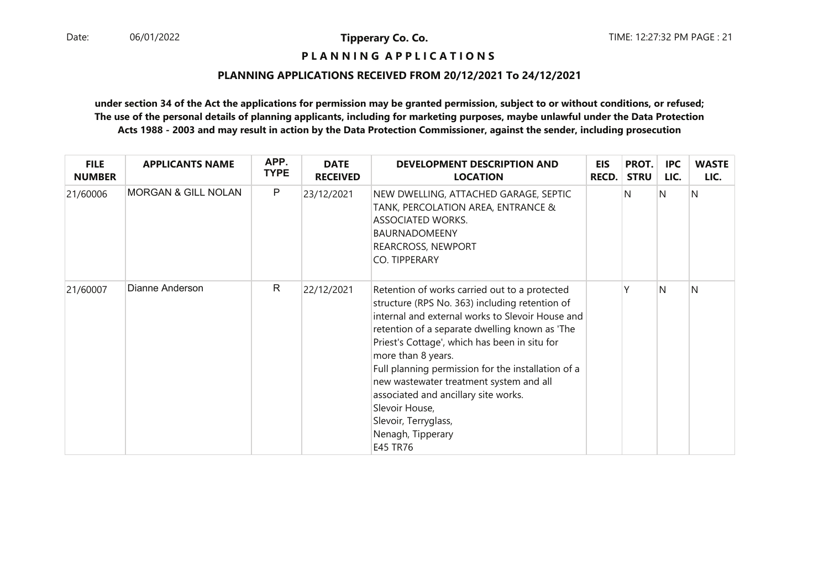# **P L A N N I N G A P P L I C A T I O N S**

#### **PLANNING APPLICATIONS RECEIVED FROM 20/12/2021 To 24/12/2021**

| <b>FILE</b><br><b>NUMBER</b> | <b>APPLICANTS NAME</b>         | APP.<br><b>TYPE</b> | <b>DATE</b><br><b>RECEIVED</b> | <b>DEVELOPMENT DESCRIPTION AND</b><br><b>LOCATION</b>                                                                                                                                                                                                                                                                                                                                                                                                                                            | EIS<br>RECD. | PROT.<br><b>STRU</b> | <b>IPC</b><br>LIC. | <b>WASTE</b><br>LIC. |
|------------------------------|--------------------------------|---------------------|--------------------------------|--------------------------------------------------------------------------------------------------------------------------------------------------------------------------------------------------------------------------------------------------------------------------------------------------------------------------------------------------------------------------------------------------------------------------------------------------------------------------------------------------|--------------|----------------------|--------------------|----------------------|
| 21/60006                     | <b>MORGAN &amp; GILL NOLAN</b> | $\mathsf{P}$        | 23/12/2021                     | NEW DWELLING, ATTACHED GARAGE, SEPTIC<br>TANK, PERCOLATION AREA, ENTRANCE &<br><b>ASSOCIATED WORKS.</b><br><b>BAURNADOMEENY</b><br>REARCROSS, NEWPORT<br>CO. TIPPERARY                                                                                                                                                                                                                                                                                                                           |              | N                    | N                  | N                    |
| 21/60007                     | Dianne Anderson                | $\mathsf{R}$        | 22/12/2021                     | Retention of works carried out to a protected<br>structure (RPS No. 363) including retention of<br>internal and external works to Slevoir House and<br>retention of a separate dwelling known as 'The<br>Priest's Cottage', which has been in situ for<br>more than 8 years.<br>Full planning permission for the installation of a<br>new wastewater treatment system and all<br>associated and ancillary site works.<br>Slevoir House,<br>Slevoir, Terryglass,<br>Nenagh, Tipperary<br>E45 TR76 |              |                      | N                  | N                    |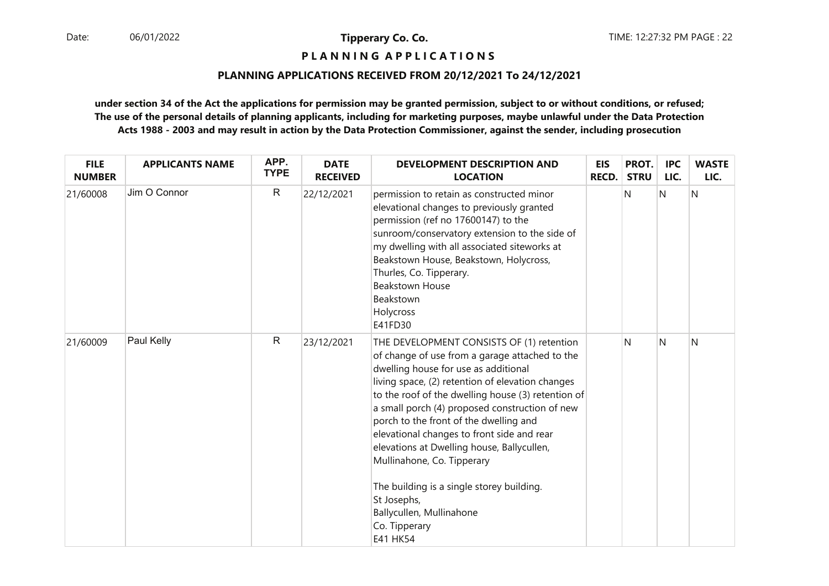# **P L A N N I N G A P P L I C A T I O N S**

## **PLANNING APPLICATIONS RECEIVED FROM 20/12/2021 To 24/12/2021**

| <b>FILE</b><br><b>NUMBER</b> | <b>APPLICANTS NAME</b> | APP.<br><b>TYPE</b> | <b>DATE</b><br><b>RECEIVED</b> | <b>DEVELOPMENT DESCRIPTION AND</b><br><b>LOCATION</b>                                                                                                                                                                                                                                                                                                                                                                                                                                                                                                                                    | EIS<br><b>RECD.</b> | PROT.<br><b>STRU</b> | <b>IPC</b><br>LIC. | <b>WASTE</b><br>LIC. |
|------------------------------|------------------------|---------------------|--------------------------------|------------------------------------------------------------------------------------------------------------------------------------------------------------------------------------------------------------------------------------------------------------------------------------------------------------------------------------------------------------------------------------------------------------------------------------------------------------------------------------------------------------------------------------------------------------------------------------------|---------------------|----------------------|--------------------|----------------------|
| 21/60008                     | Jim O Connor           | $\mathsf{R}$        | 22/12/2021                     | permission to retain as constructed minor<br>elevational changes to previously granted<br>permission (ref no 17600147) to the<br>sunroom/conservatory extension to the side of<br>my dwelling with all associated siteworks at<br>Beakstown House, Beakstown, Holycross,<br>Thurles, Co. Tipperary.<br><b>Beakstown House</b><br>Beakstown<br>Holycross<br>E41FD30                                                                                                                                                                                                                       |                     | N                    | N                  | N                    |
| 21/60009                     | Paul Kelly             | $\mathsf{R}$        | 23/12/2021                     | THE DEVELOPMENT CONSISTS OF (1) retention<br>of change of use from a garage attached to the<br>dwelling house for use as additional<br>living space, (2) retention of elevation changes<br>to the roof of the dwelling house (3) retention of<br>a small porch (4) proposed construction of new<br>porch to the front of the dwelling and<br>elevational changes to front side and rear<br>elevations at Dwelling house, Ballycullen,<br>Mullinahone, Co. Tipperary<br>The building is a single storey building.<br>St Josephs,<br>Ballycullen, Mullinahone<br>Co. Tipperary<br>E41 HK54 |                     | N                    | N                  | N                    |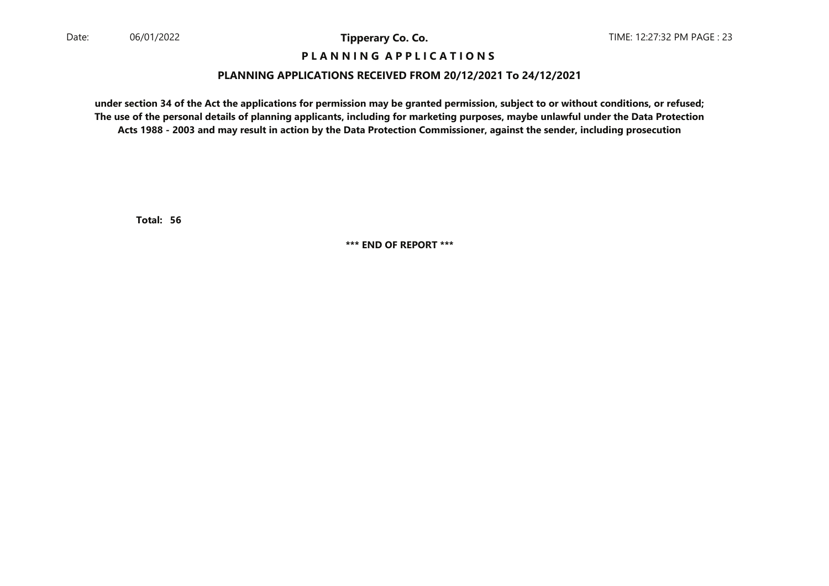## **P L A N N I N G A P P L I C A T I O N S**

## **PLANNING APPLICATIONS RECEIVED FROM 20/12/2021 To 24/12/2021**

**under section 34 of the Act the applications for permission may be granted permission, subject to or without conditions, or refused; The use of the personal details of planning applicants, including for marketing purposes, maybe unlawful under the Data ProtectionActs 1988 - 2003 and may result in action by the Data Protection Commissioner, against the sender, including prosecution**

**56Total:** 

**\*\*\* END OF REPORT \*\*\***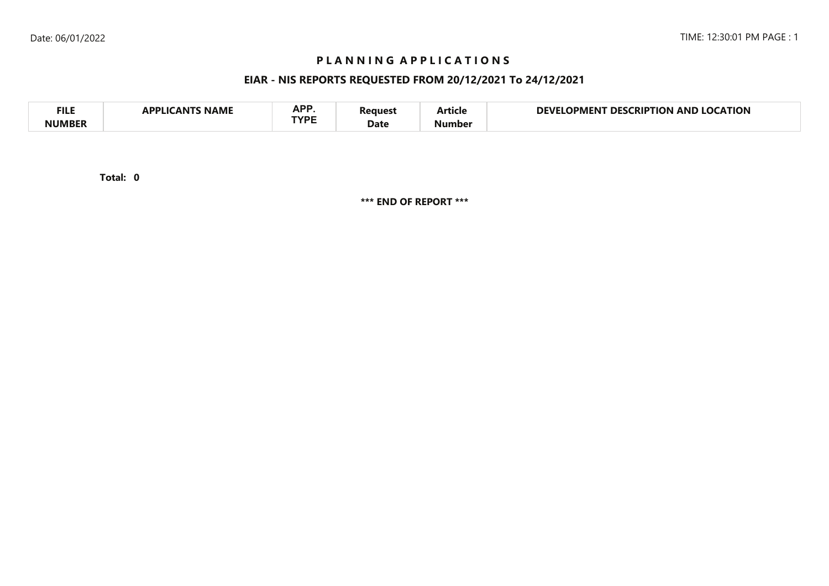# **P L A N N I N G A P P L I C A T I O N S**

# **EIAR - NIS REPORTS REQUESTED FROM 20/12/2021 To 24/12/2021**

| <b>FILE</b> | <b>NAME</b><br>A DDI IG<br>л NI | <b>ADD</b><br>NF I<br>TVDC | 'eaues' | - -<br>Article | <b>LOCATION</b><br>NFVI<br><b>LOCKIPTION</b><br>DES<br>OPMENT<br>AND |
|-------------|---------------------------------|----------------------------|---------|----------------|----------------------------------------------------------------------|
| NIIMRFR     |                                 |                            | Date    | Number         |                                                                      |

**0Total:** 

**\*\*\* END OF REPORT \*\*\***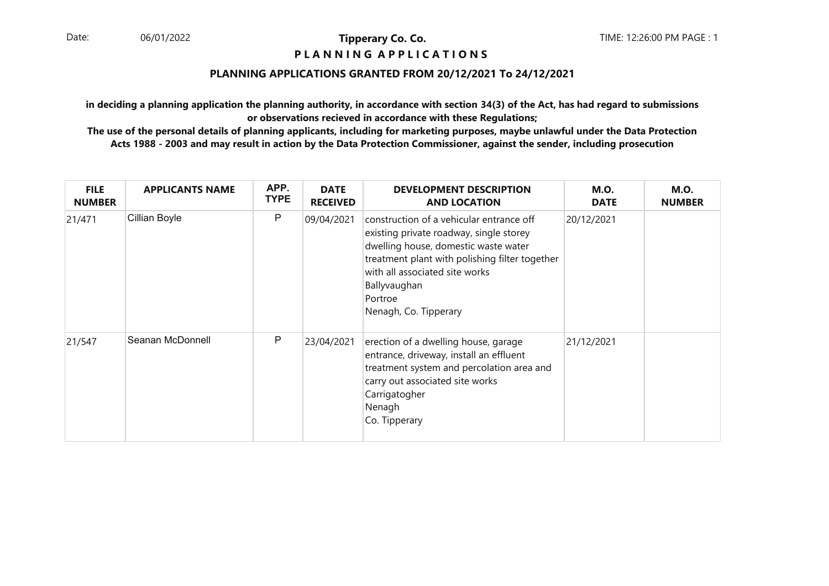## **P L A N N I N G A P P L I C A T I O N S**

## **PLANNING APPLICATIONS GRANTED FROM 20/12/2021 To 24/12/2021**

**in deciding a planning application the planning authority, in accordance with section 34(3) of the Act, has had regard to submissionsor observations recieved in accordance with these Regulations;**

| <b>FILE</b><br><b>NUMBER</b> | <b>APPLICANTS NAME</b> | APP.<br><b>TYPE</b> | <b>DATE</b><br><b>RECEIVED</b> | <b>DEVELOPMENT DESCRIPTION</b><br><b>AND LOCATION</b>                                                                                                                                                                                                               | <b>M.O.</b><br><b>DATE</b> | <b>M.O.</b><br><b>NUMBER</b> |
|------------------------------|------------------------|---------------------|--------------------------------|---------------------------------------------------------------------------------------------------------------------------------------------------------------------------------------------------------------------------------------------------------------------|----------------------------|------------------------------|
| 21/471                       | Cillian Boyle          | P                   | 09/04/2021                     | construction of a vehicular entrance off<br>existing private roadway, single storey<br>dwelling house, domestic waste water<br>treatment plant with polishing filter together<br>with all associated site works<br>Ballyvaughan<br>Portroe<br>Nenagh, Co. Tipperary | 20/12/2021                 |                              |
| 21/547                       | Seanan McDonnell       | P                   | 23/04/2021                     | erection of a dwelling house, garage<br>entrance, driveway, install an effluent<br>treatment system and percolation area and<br>carry out associated site works<br>Carrigatogher<br>Nenagh<br>Co. Tipperary                                                         | 21/12/2021                 |                              |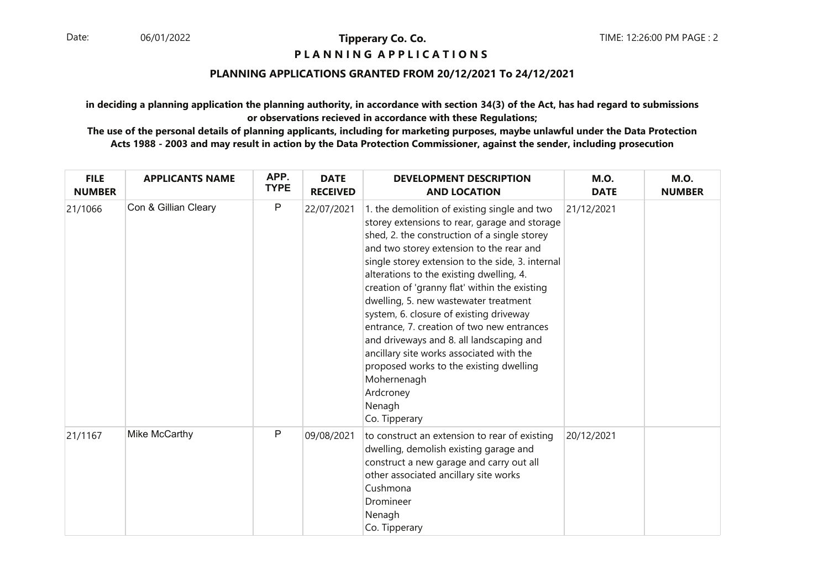## **P L A N N I N G A P P L I C A T I O N S**

## **PLANNING APPLICATIONS GRANTED FROM 20/12/2021 To 24/12/2021**

**in deciding a planning application the planning authority, in accordance with section 34(3) of the Act, has had regard to submissionsor observations recieved in accordance with these Regulations;**

| <b>FILE</b><br><b>NUMBER</b> | <b>APPLICANTS NAME</b> | APP.<br><b>TYPE</b> | <b>DATE</b><br><b>RECEIVED</b> | <b>DEVELOPMENT DESCRIPTION</b><br><b>AND LOCATION</b>                                                                                                                                                                                                                                                                                                                                                                                                                                                                                                                                                                                                                  | <b>M.O.</b><br><b>DATE</b> | <b>M.O.</b><br><b>NUMBER</b> |
|------------------------------|------------------------|---------------------|--------------------------------|------------------------------------------------------------------------------------------------------------------------------------------------------------------------------------------------------------------------------------------------------------------------------------------------------------------------------------------------------------------------------------------------------------------------------------------------------------------------------------------------------------------------------------------------------------------------------------------------------------------------------------------------------------------------|----------------------------|------------------------------|
| 21/1066                      | Con & Gillian Cleary   | P                   | 22/07/2021                     | 1. the demolition of existing single and two<br>storey extensions to rear, garage and storage<br>shed, 2. the construction of a single storey<br>and two storey extension to the rear and<br>single storey extension to the side, 3. internal<br>alterations to the existing dwelling, 4.<br>creation of 'granny flat' within the existing<br>dwelling, 5. new wastewater treatment<br>system, 6. closure of existing driveway<br>entrance, 7. creation of two new entrances<br>and driveways and 8. all landscaping and<br>ancillary site works associated with the<br>proposed works to the existing dwelling<br>Mohernenagh<br>Ardcroney<br>Nenagh<br>Co. Tipperary | 21/12/2021                 |                              |
| 21/1167                      | Mike McCarthy          | P                   | 09/08/2021                     | to construct an extension to rear of existing<br>dwelling, demolish existing garage and<br>construct a new garage and carry out all<br>other associated ancillary site works<br>Cushmona<br>Dromineer<br>Nenagh<br>Co. Tipperary                                                                                                                                                                                                                                                                                                                                                                                                                                       | 20/12/2021                 |                              |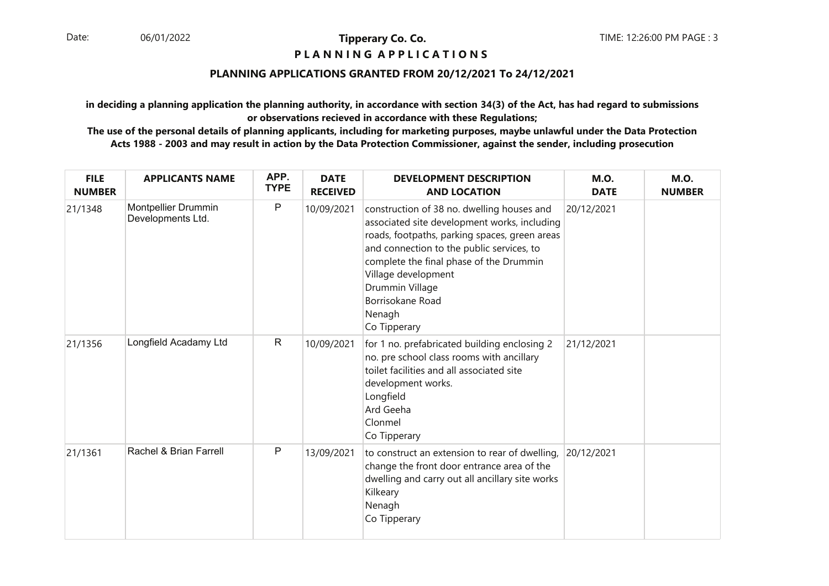## **P L A N N I N G A P P L I C A T I O N S**

## **PLANNING APPLICATIONS GRANTED FROM 20/12/2021 To 24/12/2021**

**in deciding a planning application the planning authority, in accordance with section 34(3) of the Act, has had regard to submissionsor observations recieved in accordance with these Regulations;**

| <b>FILE</b><br><b>NUMBER</b> | <b>APPLICANTS NAME</b>                   | APP.<br><b>TYPE</b> | <b>DATE</b><br><b>RECEIVED</b> | <b>DEVELOPMENT DESCRIPTION</b><br><b>AND LOCATION</b>                                                                                                                                                                                                                                                                       | <b>M.O.</b><br><b>DATE</b> | <b>M.O.</b><br><b>NUMBER</b> |
|------------------------------|------------------------------------------|---------------------|--------------------------------|-----------------------------------------------------------------------------------------------------------------------------------------------------------------------------------------------------------------------------------------------------------------------------------------------------------------------------|----------------------------|------------------------------|
| 21/1348                      | Montpellier Drummin<br>Developments Ltd. | P                   | 10/09/2021                     | construction of 38 no. dwelling houses and<br>associated site development works, including<br>roads, footpaths, parking spaces, green areas<br>and connection to the public services, to<br>complete the final phase of the Drummin<br>Village development<br>Drummin Village<br>Borrisokane Road<br>Nenagh<br>Co Tipperary | 20/12/2021                 |                              |
| 21/1356                      | Longfield Acadamy Ltd                    | $\mathsf{R}$        | 10/09/2021                     | for 1 no. prefabricated building enclosing 2<br>no. pre school class rooms with ancillary<br>toilet facilities and all associated site<br>development works.<br>Longfield<br>Ard Geeha<br>Clonmel<br>Co Tipperary                                                                                                           | 21/12/2021                 |                              |
| 21/1361                      | Rachel & Brian Farrell                   | $\mathsf{P}$        | 13/09/2021                     | to construct an extension to rear of dwelling,<br>change the front door entrance area of the<br>dwelling and carry out all ancillary site works<br>Kilkeary<br>Nenagh<br>Co Tipperary                                                                                                                                       | 20/12/2021                 |                              |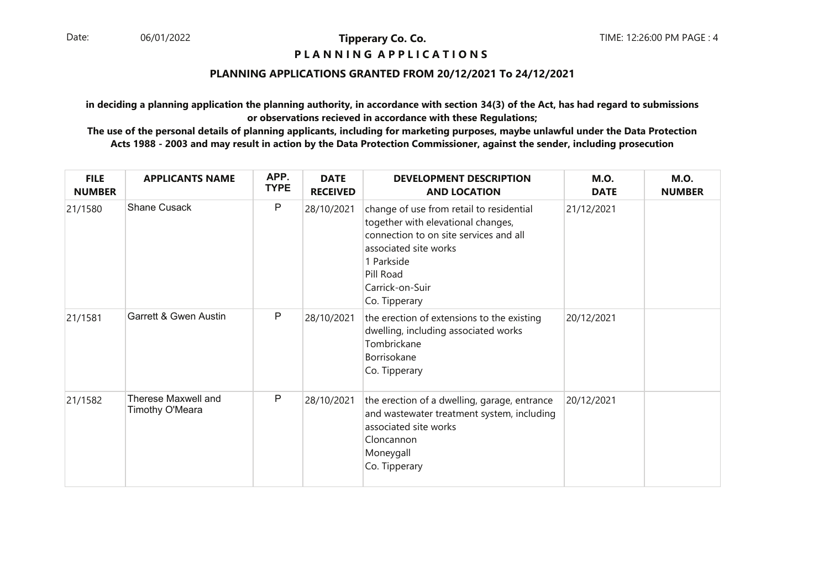## **P L A N N I N G A P P L I C A T I O N S**

## **PLANNING APPLICATIONS GRANTED FROM 20/12/2021 To 24/12/2021**

**in deciding a planning application the planning authority, in accordance with section 34(3) of the Act, has had regard to submissionsor observations recieved in accordance with these Regulations;**

| <b>FILE</b><br><b>NUMBER</b> | <b>APPLICANTS NAME</b>                        | APP.<br><b>TYPE</b> | <b>DATE</b><br><b>RECEIVED</b> | <b>DEVELOPMENT DESCRIPTION</b><br><b>AND LOCATION</b>                                                                                                                                                            | <b>M.O.</b><br><b>DATE</b> | <b>M.O.</b><br><b>NUMBER</b> |
|------------------------------|-----------------------------------------------|---------------------|--------------------------------|------------------------------------------------------------------------------------------------------------------------------------------------------------------------------------------------------------------|----------------------------|------------------------------|
| 21/1580                      | Shane Cusack                                  | P                   | 28/10/2021                     | change of use from retail to residential<br>together with elevational changes,<br>connection to on site services and all<br>associated site works<br>1 Parkside<br>Pill Road<br>Carrick-on-Suir<br>Co. Tipperary | 21/12/2021                 |                              |
| 21/1581                      | Garrett & Gwen Austin                         | P                   | 28/10/2021                     | the erection of extensions to the existing<br>dwelling, including associated works<br>Tombrickane<br>Borrisokane<br>Co. Tipperary                                                                                | 20/12/2021                 |                              |
| 21/1582                      | <b>Therese Maxwell and</b><br>Timothy O'Meara | P                   | 28/10/2021                     | the erection of a dwelling, garage, entrance<br>and wastewater treatment system, including<br>associated site works<br>Cloncannon<br>Moneygall<br>Co. Tipperary                                                  | 20/12/2021                 |                              |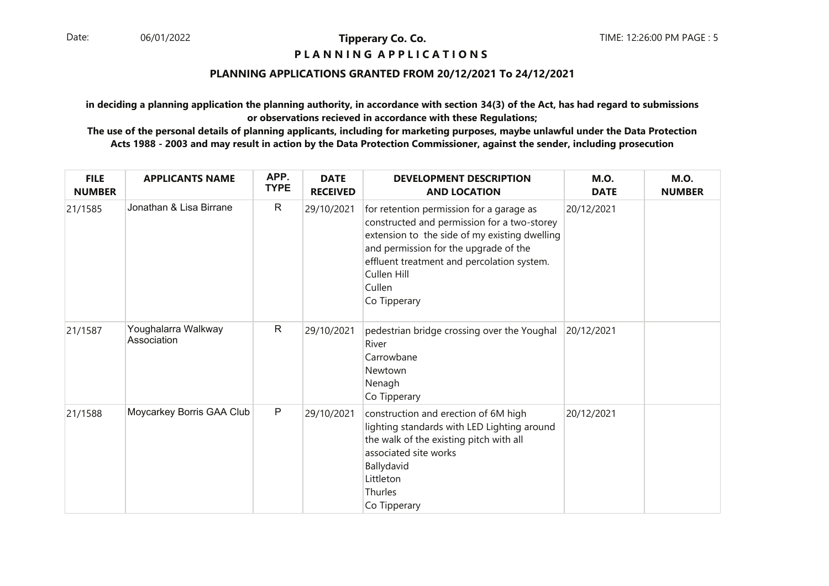## **P L A N N I N G A P P L I C A T I O N S**

## **PLANNING APPLICATIONS GRANTED FROM 20/12/2021 To 24/12/2021**

**in deciding a planning application the planning authority, in accordance with section 34(3) of the Act, has had regard to submissionsor observations recieved in accordance with these Regulations;**

| <b>FILE</b><br><b>NUMBER</b> | <b>APPLICANTS NAME</b>             | APP.<br><b>TYPE</b> | <b>DATE</b><br><b>RECEIVED</b> | <b>DEVELOPMENT DESCRIPTION</b><br><b>AND LOCATION</b>                                                                                                                                                                                                                    | <b>M.O.</b><br><b>DATE</b> | <b>M.O.</b><br><b>NUMBER</b> |
|------------------------------|------------------------------------|---------------------|--------------------------------|--------------------------------------------------------------------------------------------------------------------------------------------------------------------------------------------------------------------------------------------------------------------------|----------------------------|------------------------------|
| 21/1585                      | Jonathan & Lisa Birrane            | $\mathsf{R}$        | 29/10/2021                     | for retention permission for a garage as<br>constructed and permission for a two-storey<br>extension to the side of my existing dwelling<br>and permission for the upgrade of the<br>effluent treatment and percolation system.<br>Cullen Hill<br>Cullen<br>Co Tipperary | 20/12/2021                 |                              |
| 21/1587                      | Youghalarra Walkway<br>Association | $\mathsf{R}$        | 29/10/2021                     | pedestrian bridge crossing over the Youghal<br>River<br>Carrowbane<br>Newtown<br>Nenagh<br>Co Tipperary                                                                                                                                                                  | 20/12/2021                 |                              |
| 21/1588                      | Moycarkey Borris GAA Club          | $\mathsf{P}$        | 29/10/2021                     | construction and erection of 6M high<br>lighting standards with LED Lighting around<br>the walk of the existing pitch with all<br>associated site works<br>Ballydavid<br>Littleton<br>Thurles<br>Co Tipperary                                                            | 20/12/2021                 |                              |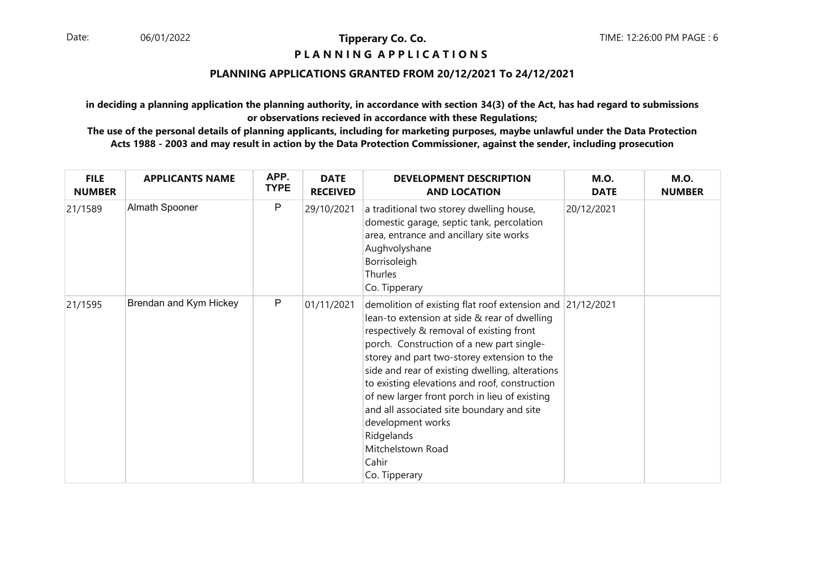## **P L A N N I N G A P P L I C A T I O N S**

## **PLANNING APPLICATIONS GRANTED FROM 20/12/2021 To 24/12/2021**

**in deciding a planning application the planning authority, in accordance with section 34(3) of the Act, has had regard to submissionsor observations recieved in accordance with these Regulations;**

| <b>FILE</b><br><b>NUMBER</b> | <b>APPLICANTS NAME</b> | APP.<br><b>TYPE</b> | <b>DATE</b><br><b>RECEIVED</b> | <b>DEVELOPMENT DESCRIPTION</b><br><b>AND LOCATION</b>                                                                                                                                                                                                                                                                                                                                                                                                                                                                                 | <b>M.O.</b><br><b>DATE</b> | <b>M.O.</b><br><b>NUMBER</b> |
|------------------------------|------------------------|---------------------|--------------------------------|---------------------------------------------------------------------------------------------------------------------------------------------------------------------------------------------------------------------------------------------------------------------------------------------------------------------------------------------------------------------------------------------------------------------------------------------------------------------------------------------------------------------------------------|----------------------------|------------------------------|
| 21/1589                      | Almath Spooner         | P                   | 29/10/2021                     | a traditional two storey dwelling house,<br>domestic garage, septic tank, percolation<br>area, entrance and ancillary site works<br>Aughvolyshane<br>Borrisoleigh<br>Thurles<br>Co. Tipperary                                                                                                                                                                                                                                                                                                                                         | 20/12/2021                 |                              |
| 21/1595                      | Brendan and Kym Hickey | P                   | 01/11/2021                     | demolition of existing flat roof extension and 21/12/2021<br>lean-to extension at side & rear of dwelling<br>respectively & removal of existing front<br>porch. Construction of a new part single-<br>storey and part two-storey extension to the<br>side and rear of existing dwelling, alterations<br>to existing elevations and roof, construction<br>of new larger front porch in lieu of existing<br>and all associated site boundary and site<br>development works<br>Ridgelands<br>Mitchelstown Road<br>Cahir<br>Co. Tipperary |                            |                              |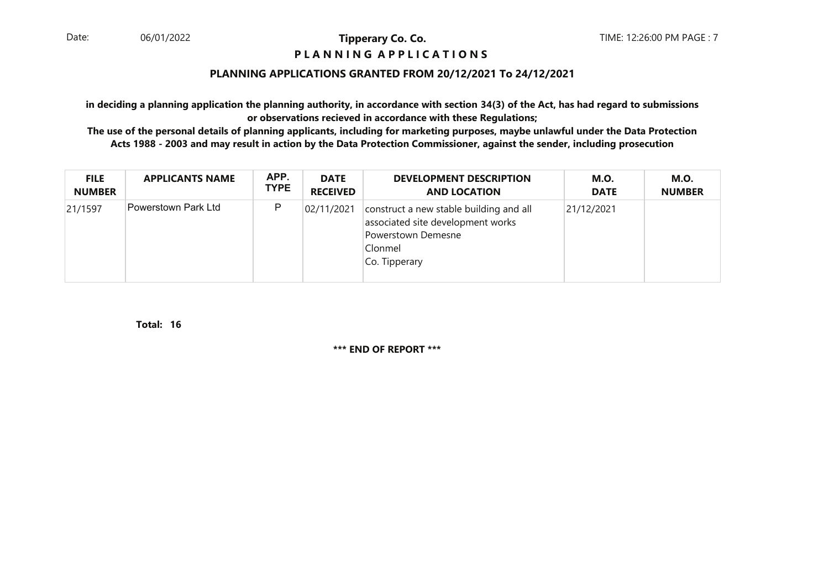## **P L A N N I N G A P P L I C A T I O N S**

## **PLANNING APPLICATIONS GRANTED FROM 20/12/2021 To 24/12/2021**

**in deciding a planning application the planning authority, in accordance with section 34(3) of the Act, has had regard to submissionsor observations recieved in accordance with these Regulations;**

 **The use of the personal details of planning applicants, including for marketing purposes, maybe unlawful under the Data ProtectionActs 1988 - 2003 and may result in action by the Data Protection Commissioner, against the sender, including prosecution**

| <b>FILE</b>   | <b>APPLICANTS NAME</b> | APP.        | <b>DATE</b>     | <b>DEVELOPMENT DESCRIPTION</b>                                                                                                 | <b>M.O.</b> | <b>M.O.</b>   |
|---------------|------------------------|-------------|-----------------|--------------------------------------------------------------------------------------------------------------------------------|-------------|---------------|
| <b>NUMBER</b> |                        | <b>TYPE</b> | <b>RECEIVED</b> | <b>AND LOCATION</b>                                                                                                            | <b>DATE</b> | <b>NUMBER</b> |
| 21/1597       | Powerstown Park Ltd    | P           | 02/11/2021      | construct a new stable building and all<br>associated site development works<br>Powerstown Demesne<br>Clonmel<br>Co. Tipperary | 21/12/2021  |               |

**16Total:** 

**\*\*\* END OF REPORT \*\*\***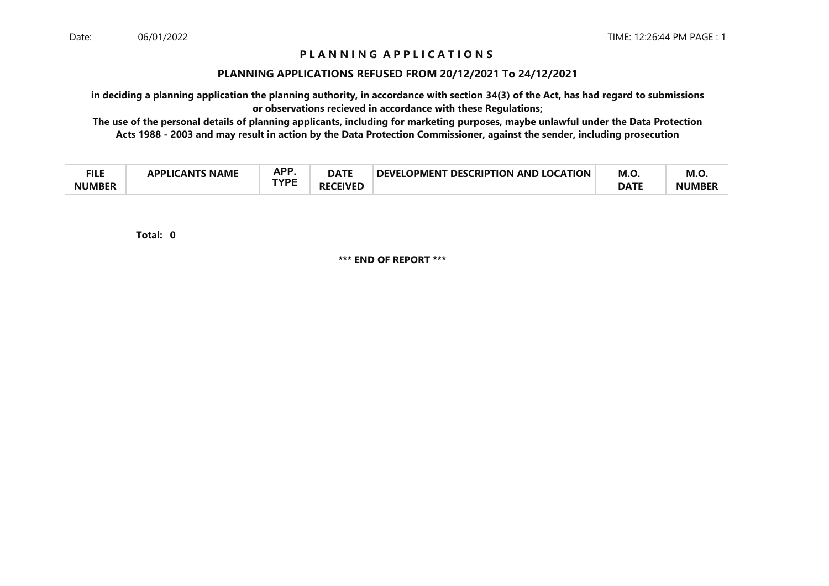# **P L A N N I N G A P P L I C A T I O N S**

#### **PLANNING APPLICATIONS REFUSED FROM 20/12/2021 To 24/12/2021**

**in deciding a planning application the planning authority, in accordance with section 34(3) of the Act, has had regard to submissionsor observations recieved in accordance with these Regulations;**

 **The use of the personal details of planning applicants, including for marketing purposes, maybe unlawful under the Data ProtectionActs 1988 - 2003 and may result in action by the Data Protection Commissioner, against the sender, including prosecution**

| ги с<br>−∎⊾⊾  | <b>NAME</b><br>21 Ι <i>Γ</i> ΔΝΤΚ<br><b>ADDI IC</b> | <b>APP</b><br><b>DATE</b><br>mі. | <b>DEVELOPMENT</b><br><b>T DESCRIPTION AND LOCATION</b> | M.O | M.O.        |               |
|---------------|-----------------------------------------------------|----------------------------------|---------------------------------------------------------|-----|-------------|---------------|
| <b>NUMBER</b> |                                                     | TVDC                             | <b>CEIVED</b><br>RF                                     |     | <b>DATF</b> | <b>NUMBEI</b> |

**0Total:** 

**\*\*\* END OF REPORT \*\*\***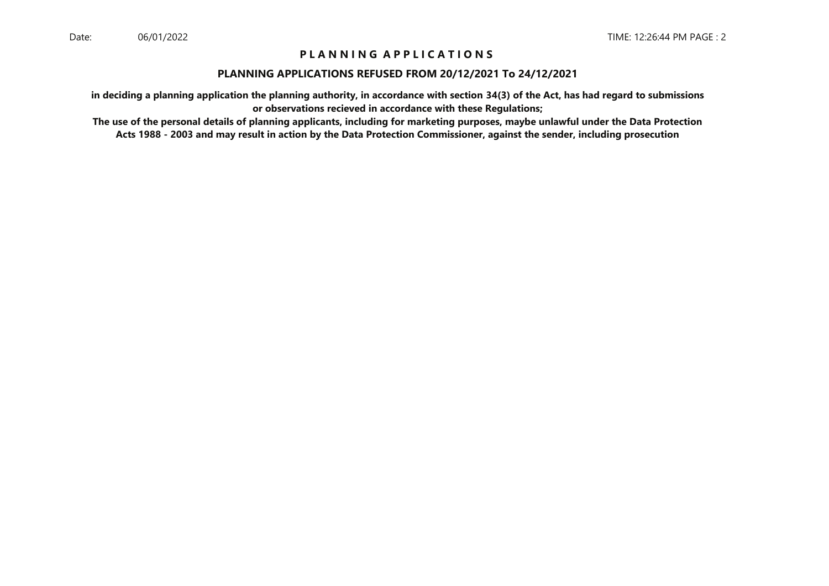# **P L A N N I N G A P P L I C A T I O N S**

#### **PLANNING APPLICATIONS REFUSED FROM 20/12/2021 To 24/12/2021**

**in deciding a planning application the planning authority, in accordance with section 34(3) of the Act, has had regard to submissionsor observations recieved in accordance with these Regulations;**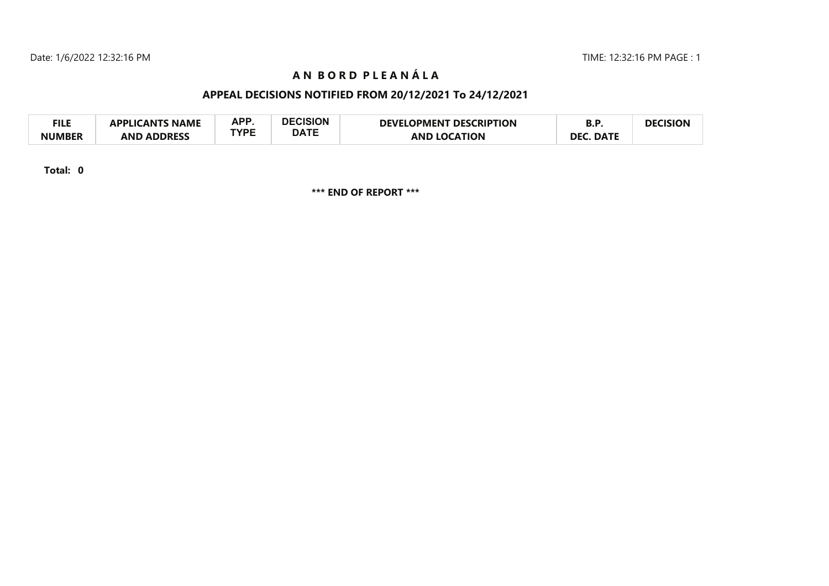# **A N B O R D P L E A N Á L A**

# **APPEAL DECISIONS NOTIFIED FROM 20/12/2021 To 24/12/2021**

| <b>FILE</b>   | <b>APPLICANTS NAME</b> | APP  | <b>DECISION</b> | <b>DEVELOPMENT DESCRIPTION</b> | יים.             | DECISION |
|---------------|------------------------|------|-----------------|--------------------------------|------------------|----------|
| <b>NUMBER</b> | <b>AND ADDRESS</b>     | TYPE | <b>DATE</b>     | <b>AND LOCATION</b>            | <b>DEC. DATE</b> |          |

**Total: 0**

**\*\*\* END OF REPORT \*\*\***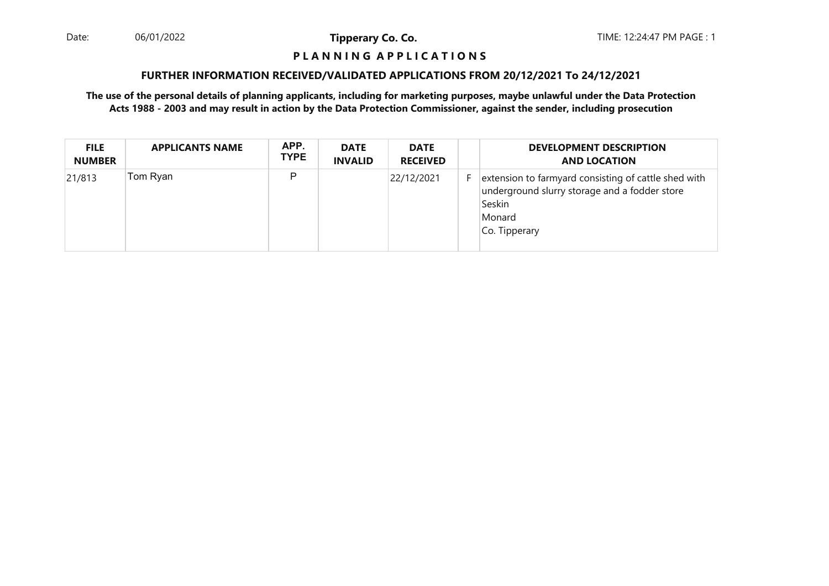Date: 06/01/2022 **Tipperary Co. Co. The Co. Co.** TIME: 12:24:47 PM PAGE : 1 06/01/2022

**Tipperary Co. Co.**

## **P L A N N I N G A P P L I C A T I O N S**

#### **FURTHER INFORMATION RECEIVED/VALIDATED APPLICATIONS FROM 20/12/2021 To 24/12/2021**

| <b>FILE</b><br><b>NUMBER</b> | <b>APPLICANTS NAME</b> | APP.<br><b>TYPE</b> | <b>DATE</b><br><b>INVALID</b> | <b>DATE</b><br><b>RECEIVED</b> | <b>DEVELOPMENT DESCRIPTION</b><br><b>AND LOCATION</b>                                                                                      |
|------------------------------|------------------------|---------------------|-------------------------------|--------------------------------|--------------------------------------------------------------------------------------------------------------------------------------------|
| 21/813                       | Tom Ryan               | P                   |                               | 22/12/2021                     | extension to farmyard consisting of cattle shed with<br>underground slurry storage and a fodder store<br>Seskin<br>Monard<br>Co. Tipperary |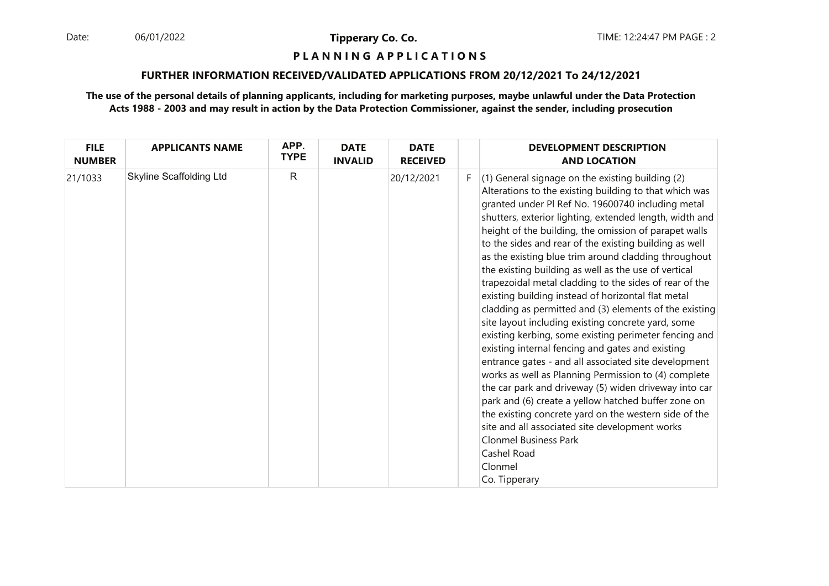06/01/2022

**Tipperary Co. Co.**

## **P L A N N I N G A P P L I C A T I O N S**

#### **FURTHER INFORMATION RECEIVED/VALIDATED APPLICATIONS FROM 20/12/2021 To 24/12/2021**

| <b>FILE</b><br><b>NUMBER</b> | <b>APPLICANTS NAME</b>         | APP.<br><b>TYPE</b> | <b>DATE</b><br><b>INVALID</b> | <b>DATE</b><br><b>RECEIVED</b> |    | <b>DEVELOPMENT DESCRIPTION</b><br><b>AND LOCATION</b>                                                                                                                                                                                                                                                                                                                                                                                                                                                                                                                                                                                                                                                                                                                                                                                                                                                                                                                                                                                                                                                                                                                                                                            |
|------------------------------|--------------------------------|---------------------|-------------------------------|--------------------------------|----|----------------------------------------------------------------------------------------------------------------------------------------------------------------------------------------------------------------------------------------------------------------------------------------------------------------------------------------------------------------------------------------------------------------------------------------------------------------------------------------------------------------------------------------------------------------------------------------------------------------------------------------------------------------------------------------------------------------------------------------------------------------------------------------------------------------------------------------------------------------------------------------------------------------------------------------------------------------------------------------------------------------------------------------------------------------------------------------------------------------------------------------------------------------------------------------------------------------------------------|
| 21/1033                      | <b>Skyline Scaffolding Ltd</b> | $\mathsf{R}$        |                               | 20/12/2021                     | F. | (1) General signage on the existing building (2)<br>Alterations to the existing building to that which was<br>granted under PI Ref No. 19600740 including metal<br>shutters, exterior lighting, extended length, width and<br>height of the building, the omission of parapet walls<br>to the sides and rear of the existing building as well<br>as the existing blue trim around cladding throughout<br>the existing building as well as the use of vertical<br>trapezoidal metal cladding to the sides of rear of the<br>existing building instead of horizontal flat metal<br>cladding as permitted and (3) elements of the existing<br>site layout including existing concrete yard, some<br>existing kerbing, some existing perimeter fencing and<br>existing internal fencing and gates and existing<br>entrance gates - and all associated site development<br>works as well as Planning Permission to (4) complete<br>the car park and driveway (5) widen driveway into car<br>park and (6) create a yellow hatched buffer zone on<br>the existing concrete yard on the western side of the<br>site and all associated site development works<br><b>Clonmel Business Park</b><br>Cashel Road<br>Clonmel<br>Co. Tipperary |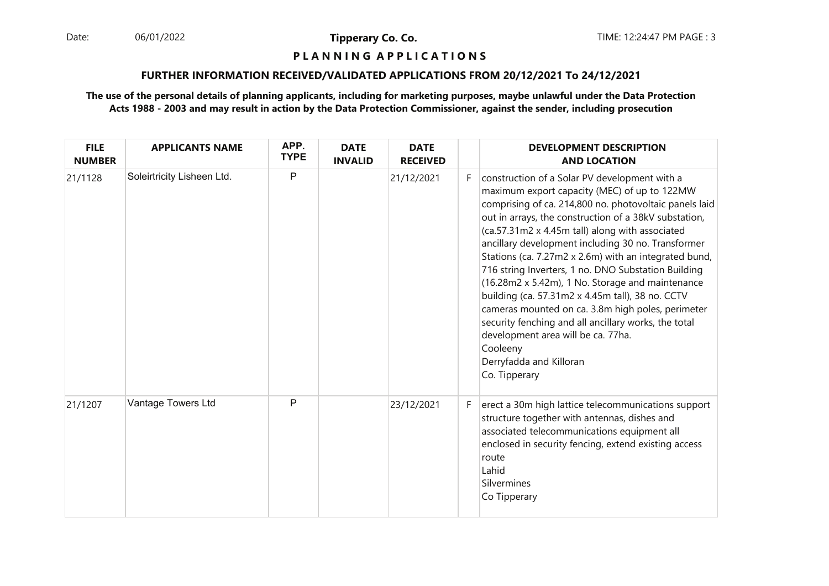06/01/2022

**Tipperary Co. Co.**

#### **P L A N N I N G A P P L I C A T I O N S**

#### **FURTHER INFORMATION RECEIVED/VALIDATED APPLICATIONS FROM 20/12/2021 To 24/12/2021**

| <b>FILE</b><br><b>NUMBER</b> | <b>APPLICANTS NAME</b>     | APP.<br><b>TYPE</b> | <b>DATE</b><br><b>INVALID</b> | <b>DATE</b><br><b>RECEIVED</b> |    | <b>DEVELOPMENT DESCRIPTION</b><br><b>AND LOCATION</b>                                                                                                                                                                                                                                                                                                                                                                                                                                                                                                                                                                                                                                                                                                        |
|------------------------------|----------------------------|---------------------|-------------------------------|--------------------------------|----|--------------------------------------------------------------------------------------------------------------------------------------------------------------------------------------------------------------------------------------------------------------------------------------------------------------------------------------------------------------------------------------------------------------------------------------------------------------------------------------------------------------------------------------------------------------------------------------------------------------------------------------------------------------------------------------------------------------------------------------------------------------|
| 21/1128                      | Soleirtricity Lisheen Ltd. | P                   |                               | 21/12/2021                     | F. | construction of a Solar PV development with a<br>maximum export capacity (MEC) of up to 122MW<br>comprising of ca. 214,800 no. photovoltaic panels laid<br>out in arrays, the construction of a 38kV substation,<br>(ca.57.31m2 x 4.45m tall) along with associated<br>ancillary development including 30 no. Transformer<br>Stations (ca. 7.27m2 x 2.6m) with an integrated bund,<br>716 string Inverters, 1 no. DNO Substation Building<br>(16.28m2 x 5.42m), 1 No. Storage and maintenance<br>building (ca. 57.31m2 x 4.45m tall), 38 no. CCTV<br>cameras mounted on ca. 3.8m high poles, perimeter<br>security fenching and all ancillary works, the total<br>development area will be ca. 77ha.<br>Cooleeny<br>Derryfadda and Killoran<br>Co. Tipperary |
| 21/1207                      | Vantage Towers Ltd         | P                   |                               | 23/12/2021                     | F. | erect a 30m high lattice telecommunications support<br>structure together with antennas, dishes and<br>associated telecommunications equipment all<br>enclosed in security fencing, extend existing access<br>route<br>Lahid<br>Silvermines<br>Co Tipperary                                                                                                                                                                                                                                                                                                                                                                                                                                                                                                  |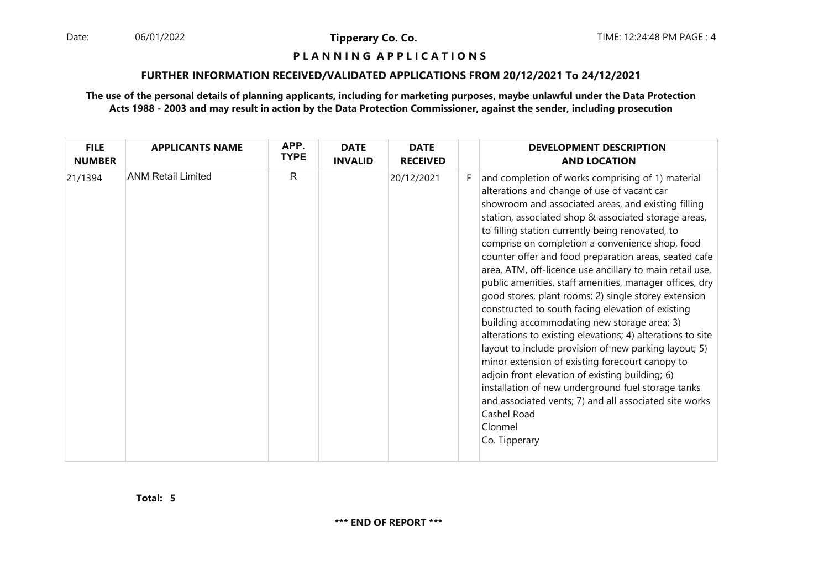06/01/2022

**Tipperary Co. Co.**

#### **P L A N N I N G A P P L I C A T I O N S**

## **FURTHER INFORMATION RECEIVED/VALIDATED APPLICATIONS FROM 20/12/2021 To 24/12/2021**

| <b>FILE</b><br><b>NUMBER</b> | <b>APPLICANTS NAME</b>    | APP.<br><b>TYPE</b> | <b>DATE</b><br><b>INVALID</b> | <b>DATE</b><br><b>RECEIVED</b> |    | <b>DEVELOPMENT DESCRIPTION</b><br><b>AND LOCATION</b>                                                                                                                                                                                                                                                                                                                                                                                                                                                                                                                                                                                                                                                                                                                                                                                                                                                                                                                                                                                                      |
|------------------------------|---------------------------|---------------------|-------------------------------|--------------------------------|----|------------------------------------------------------------------------------------------------------------------------------------------------------------------------------------------------------------------------------------------------------------------------------------------------------------------------------------------------------------------------------------------------------------------------------------------------------------------------------------------------------------------------------------------------------------------------------------------------------------------------------------------------------------------------------------------------------------------------------------------------------------------------------------------------------------------------------------------------------------------------------------------------------------------------------------------------------------------------------------------------------------------------------------------------------------|
| 21/1394                      | <b>ANM Retail Limited</b> | $\mathsf{R}$        |                               | 20/12/2021                     | F. | and completion of works comprising of 1) material<br>alterations and change of use of vacant car<br>showroom and associated areas, and existing filling<br>station, associated shop & associated storage areas,<br>to filling station currently being renovated, to<br>comprise on completion a convenience shop, food<br>counter offer and food preparation areas, seated cafe<br>area, ATM, off-licence use ancillary to main retail use,<br>public amenities, staff amenities, manager offices, dry<br>good stores, plant rooms; 2) single storey extension<br>constructed to south facing elevation of existing<br>building accommodating new storage area; 3)<br>alterations to existing elevations; 4) alterations to site<br>layout to include provision of new parking layout; 5)<br>minor extension of existing forecourt canopy to<br>adjoin front elevation of existing building; 6)<br>installation of new underground fuel storage tanks<br>and associated vents; 7) and all associated site works<br>Cashel Road<br>Clonmel<br>Co. Tipperary |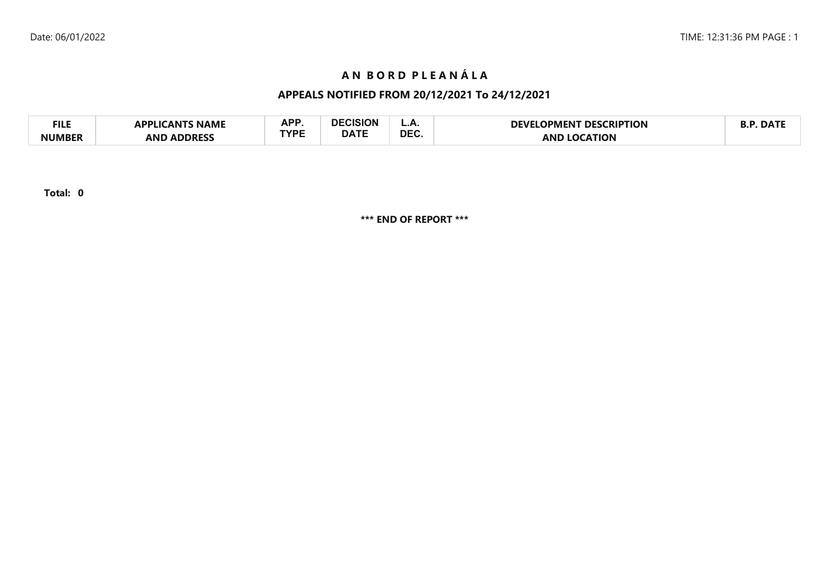# **A N B O R D P L E A N Á L A**

# **APPEALS NOTIFIED FROM 20/12/2021 To 24/12/2021**

| <b>FILE</b>   | <b>NAMI</b><br>הח<br>AN''  | A DD       | .               | <u>.</u>   | <b>RIPTION:</b><br>DFVI<br>DESC<br>IPMFNI | $\mathbf{A}$ |
|---------------|----------------------------|------------|-----------------|------------|-------------------------------------------|--------------|
| <b>NUMBEF</b> | <b>ANF</b><br><b>DDRFS</b> | rvdc<br>-- | $\triangle$ ATF | <b>DEC</b> | AN                                        |              |

**Total: 0**

**\*\*\* END OF REPORT \*\*\***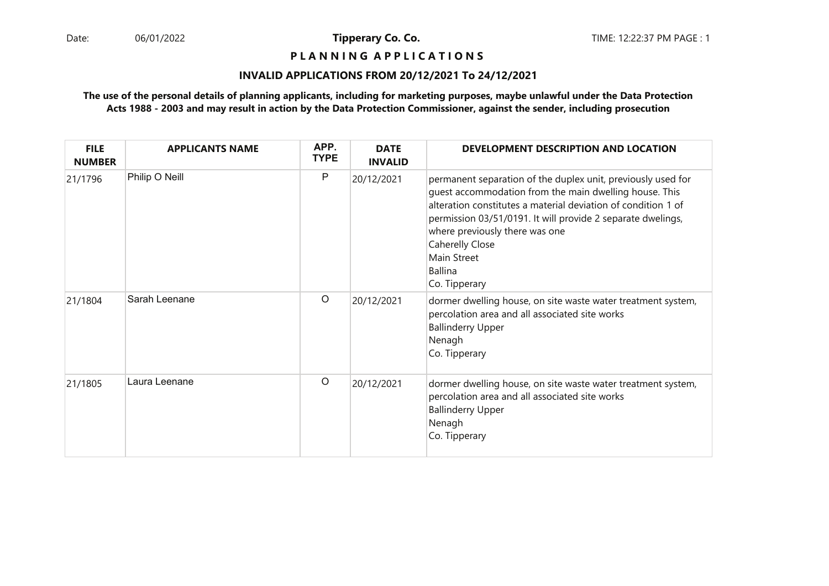**P L A N N I N G A P P L I C A T I O N S** 

## **INVALID APPLICATIONS FROM 20/12/2021 To 24/12/2021**

| <b>FILE</b><br><b>NUMBER</b> | <b>APPLICANTS NAME</b> | APP.<br><b>TYPE</b> | <b>DATE</b><br><b>INVALID</b> | DEVELOPMENT DESCRIPTION AND LOCATION                                                                                                                                                                                                                                                                                                                          |
|------------------------------|------------------------|---------------------|-------------------------------|---------------------------------------------------------------------------------------------------------------------------------------------------------------------------------------------------------------------------------------------------------------------------------------------------------------------------------------------------------------|
| 21/1796                      | Philip O Neill         | P                   | 20/12/2021                    | permanent separation of the duplex unit, previously used for<br>quest accommodation from the main dwelling house. This<br>alteration constitutes a material deviation of condition 1 of<br>permission 03/51/0191. It will provide 2 separate dwelings,<br>where previously there was one<br>Caherelly Close<br><b>Main Street</b><br>Ballina<br>Co. Tipperary |
| 21/1804                      | Sarah Leenane          | $\circ$             | 20/12/2021                    | dormer dwelling house, on site waste water treatment system,<br>percolation area and all associated site works<br><b>Ballinderry Upper</b><br>Nenagh<br>Co. Tipperary                                                                                                                                                                                         |
| 21/1805                      | Laura Leenane          | O                   | 20/12/2021                    | dormer dwelling house, on site waste water treatment system,<br>percolation area and all associated site works<br><b>Ballinderry Upper</b><br>Nenagh<br>Co. Tipperary                                                                                                                                                                                         |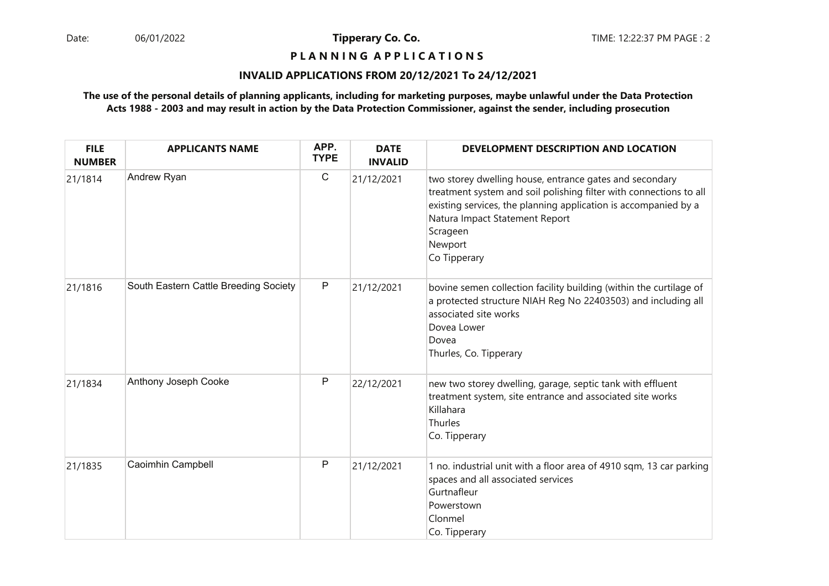## **P L A N N I N G A P P L I C A T I O N S**

#### **INVALID APPLICATIONS FROM 20/12/2021 To 24/12/2021**

| <b>FILE</b><br><b>NUMBER</b> | <b>APPLICANTS NAME</b>                | APP.<br><b>TYPE</b> | <b>DATE</b><br><b>INVALID</b> | DEVELOPMENT DESCRIPTION AND LOCATION                                                                                                                                                                                                                                      |
|------------------------------|---------------------------------------|---------------------|-------------------------------|---------------------------------------------------------------------------------------------------------------------------------------------------------------------------------------------------------------------------------------------------------------------------|
| 21/1814                      | Andrew Ryan                           | $\mathsf C$         | 21/12/2021                    | two storey dwelling house, entrance gates and secondary<br>treatment system and soil polishing filter with connections to all<br>existing services, the planning application is accompanied by a<br>Natura Impact Statement Report<br>Scrageen<br>Newport<br>Co Tipperary |
| 21/1816                      | South Eastern Cattle Breeding Society | P                   | 21/12/2021                    | bovine semen collection facility building (within the curtilage of<br>a protected structure NIAH Reg No 22403503) and including all<br>associated site works<br>Dovea Lower<br>Dovea<br>Thurles, Co. Tipperary                                                            |
| 21/1834                      | Anthony Joseph Cooke                  | P                   | 22/12/2021                    | new two storey dwelling, garage, septic tank with effluent<br>treatment system, site entrance and associated site works<br>Killahara<br>Thurles<br>Co. Tipperary                                                                                                          |
| 21/1835                      | Caoimhin Campbell                     | P                   | 21/12/2021                    | 1 no. industrial unit with a floor area of 4910 sqm, 13 car parking<br>spaces and all associated services<br>Gurtnafleur<br>Powerstown<br>Clonmel<br>Co. Tipperary                                                                                                        |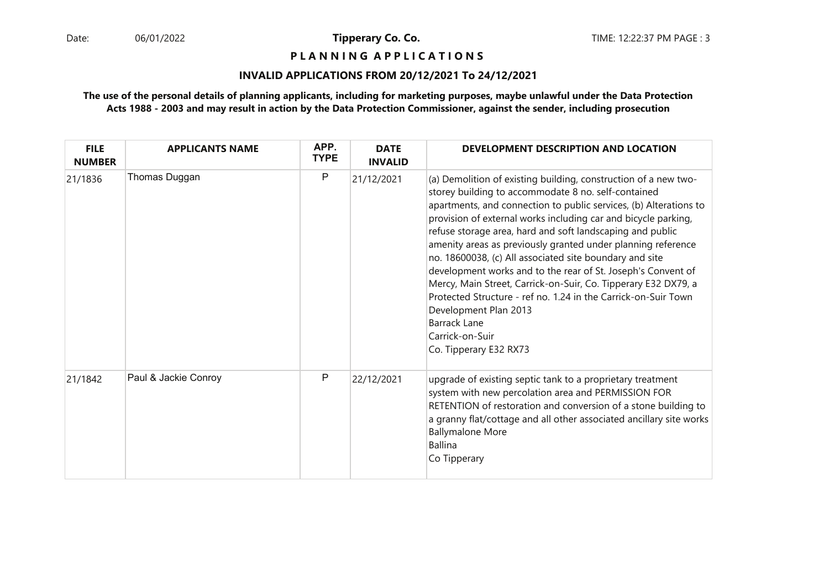**P L A N N I N G A P P L I C A T I O N S** 

## **INVALID APPLICATIONS FROM 20/12/2021 To 24/12/2021**

| <b>FILE</b><br><b>NUMBER</b> | <b>APPLICANTS NAME</b> | APP.<br><b>TYPE</b> | <b>DATE</b><br><b>INVALID</b> | DEVELOPMENT DESCRIPTION AND LOCATION                                                                                                                                                                                                                                                                                                                                                                                                                                                                                                                                                                                                                                                                                                                   |
|------------------------------|------------------------|---------------------|-------------------------------|--------------------------------------------------------------------------------------------------------------------------------------------------------------------------------------------------------------------------------------------------------------------------------------------------------------------------------------------------------------------------------------------------------------------------------------------------------------------------------------------------------------------------------------------------------------------------------------------------------------------------------------------------------------------------------------------------------------------------------------------------------|
| 21/1836                      | Thomas Duggan          | P                   | 21/12/2021                    | (a) Demolition of existing building, construction of a new two-<br>storey building to accommodate 8 no. self-contained<br>apartments, and connection to public services, (b) Alterations to<br>provision of external works including car and bicycle parking,<br>refuse storage area, hard and soft landscaping and public<br>amenity areas as previously granted under planning reference<br>no. 18600038, (c) All associated site boundary and site<br>development works and to the rear of St. Joseph's Convent of<br>Mercy, Main Street, Carrick-on-Suir, Co. Tipperary E32 DX79, a<br>Protected Structure - ref no. 1.24 in the Carrick-on-Suir Town<br>Development Plan 2013<br><b>Barrack Lane</b><br>Carrick-on-Suir<br>Co. Tipperary E32 RX73 |
| 21/1842                      | Paul & Jackie Conroy   | P                   | 22/12/2021                    | upgrade of existing septic tank to a proprietary treatment<br>system with new percolation area and PERMISSION FOR<br>RETENTION of restoration and conversion of a stone building to<br>a granny flat/cottage and all other associated ancillary site works<br><b>Ballymalone More</b><br>Ballina<br>Co Tipperary                                                                                                                                                                                                                                                                                                                                                                                                                                       |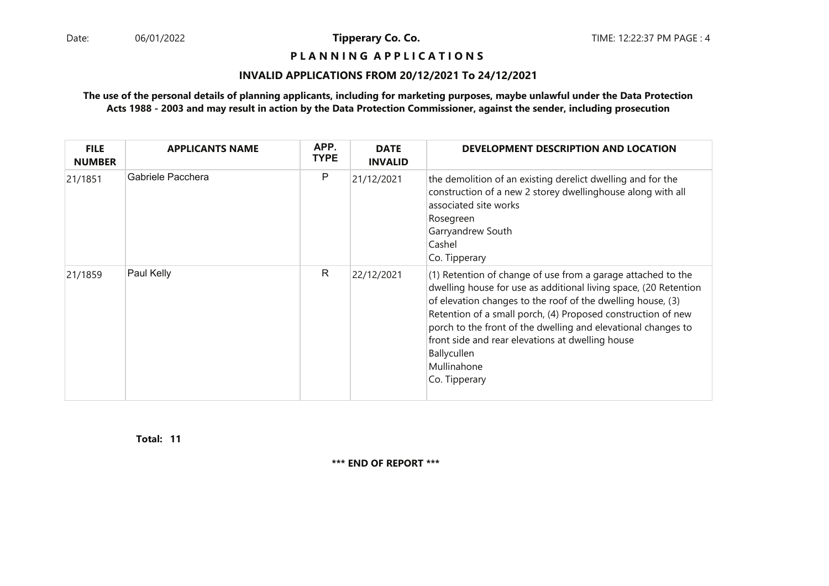**P L A N N I N G A P P L I C A T I O N S** 

## **INVALID APPLICATIONS FROM 20/12/2021 To 24/12/2021**

## **The use of the personal details of planning applicants, including for marketing purposes, maybe unlawful under the Data ProtectionActs 1988 - 2003 and may result in action by the Data Protection Commissioner, against the sender, including prosecution**

| <b>FILE</b><br><b>NUMBER</b> | <b>APPLICANTS NAME</b> | APP.<br><b>TYPE</b> | <b>DATE</b><br><b>INVALID</b> | <b>DEVELOPMENT DESCRIPTION AND LOCATION</b>                                                                                                                                                                                                                                                                                                                                                                                         |
|------------------------------|------------------------|---------------------|-------------------------------|-------------------------------------------------------------------------------------------------------------------------------------------------------------------------------------------------------------------------------------------------------------------------------------------------------------------------------------------------------------------------------------------------------------------------------------|
| 21/1851                      | Gabriele Pacchera      | P                   | 21/12/2021                    | the demolition of an existing derelict dwelling and for the<br>construction of a new 2 storey dwellinghouse along with all<br>associated site works<br>Rosegreen<br>Garryandrew South<br>Cashel<br>Co. Tipperary                                                                                                                                                                                                                    |
| 21/1859                      | Paul Kelly             | R                   | 22/12/2021                    | (1) Retention of change of use from a garage attached to the<br>dwelling house for use as additional living space, (20 Retention<br>of elevation changes to the roof of the dwelling house, (3)<br>Retention of a small porch, (4) Proposed construction of new<br>porch to the front of the dwelling and elevational changes to<br>front side and rear elevations at dwelling house<br>Ballycullen<br>Mullinahone<br>Co. Tipperary |

**11Total:** 

**\*\*\* END OF REPORT \*\*\***